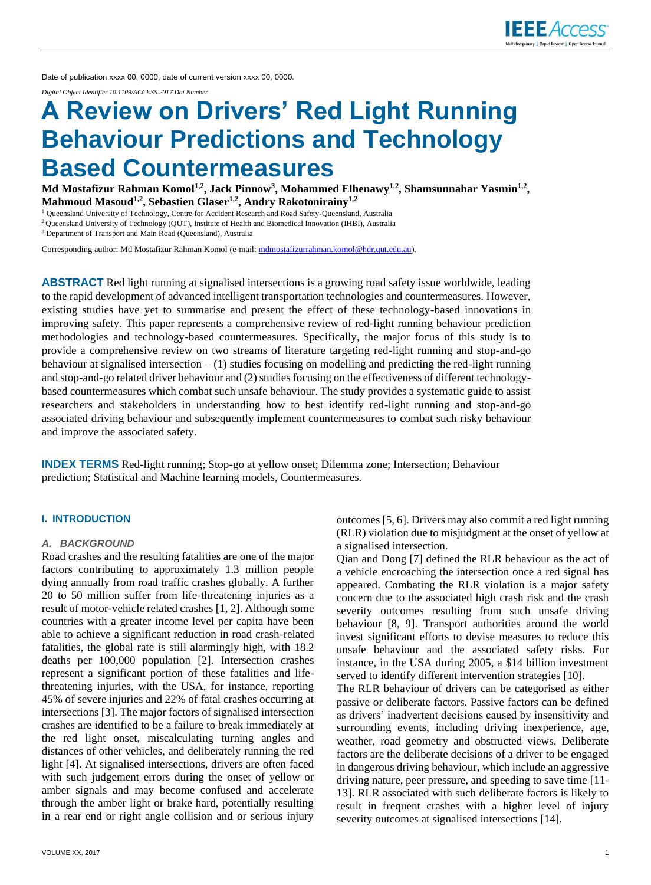

Date of publication xxxx 00, 0000, date of current version xxxx 00, 0000.

*Digital Object Identifier 10.1109/ACCESS.2017.Doi Number*

# **A Review on Drivers' Red Light Running Behaviour Predictions and Technology Based Countermeasures**

**Md Mostafizur Rahman Komol1,2 , Jack Pinnow<sup>3</sup> , Mohammed Elhenawy1,2 , Shamsunnahar Yasmin1,2 , Mahmoud Masoud1,2, Sebastien Glaser1,2, Andry Rakotonirainy1,2**

<sup>1</sup> Queensland University of Technology, Centre for Accident Research and Road Safety-Queensland, Australia

<sup>2</sup>Queensland University of Technology (QUT), Institute of Health and Biomedical Innovation (IHBI), Australia

<sup>3</sup> Department of Transport and Main Road (Queensland), Australia

Corresponding author: Md Mostafizur Rahman Komol (e-mail[: mdmostafizurrahman.komol@hdr.qut.edu.au\)](mailto:mdmostafizurrahman.komol@hdr.qut.edu.au).

**ABSTRACT** Red light running at signalised intersections is a growing road safety issue worldwide, leading to the rapid development of advanced intelligent transportation technologies and countermeasures. However, existing studies have yet to summarise and present the effect of these technology-based innovations in improving safety. This paper represents a comprehensive review of red-light running behaviour prediction methodologies and technology-based countermeasures. Specifically, the major focus of this study is to provide a comprehensive review on two streams of literature targeting red-light running and stop-and-go behaviour at signalised intersection  $- (1)$  studies focusing on modelling and predicting the red-light running and stop-and-go related driver behaviour and (2) studies focusing on the effectiveness of different technologybased countermeasures which combat such unsafe behaviour. The study provides a systematic guide to assist researchers and stakeholders in understanding how to best identify red-light running and stop-and-go associated driving behaviour and subsequently implement countermeasures to combat such risky behaviour and improve the associated safety.

**INDEX TERMS** Red-light running; Stop-go at yellow onset; Dilemma zone; Intersection; Behaviour prediction; Statistical and Machine learning models, Countermeasures.

#### **I. INTRODUCTION**

#### *A. BACKGROUND*

Road crashes and the resulting fatalities are one of the major factors contributing to approximately 1.3 million people dying annually from road traffic crashes globally. A further 20 to 50 million suffer from life-threatening injuries as a result of motor-vehicle related crashes [1, 2]. Although some countries with a greater income level per capita have been able to achieve a significant reduction in road crash-related fatalities, the global rate is still alarmingly high, with 18.2 deaths per 100,000 population [2]. Intersection crashes represent a significant portion of these fatalities and lifethreatening injuries, with the USA, for instance, reporting 45% of severe injuries and 22% of fatal crashes occurring at intersections [3]. The major factors of signalised intersection crashes are identified to be a failure to break immediately at the red light onset, miscalculating turning angles and distances of other vehicles, and deliberately running the red light [4]. At signalised intersections, drivers are often faced with such judgement errors during the onset of yellow or amber signals and may become confused and accelerate through the amber light or brake hard, potentially resulting in a rear end or right angle collision and or serious injury

outcomes [5, 6]. Drivers may also commit a red light running (RLR) violation due to misjudgment at the onset of yellow at a signalised intersection.

Qian and Dong [7] defined the RLR behaviour as the act of a vehicle encroaching the intersection once a red signal has appeared. Combating the RLR violation is a major safety concern due to the associated high crash risk and the crash severity outcomes resulting from such unsafe driving behaviour [8, 9]. Transport authorities around the world invest significant efforts to devise measures to reduce this unsafe behaviour and the associated safety risks. For instance, in the USA during 2005, a \$14 billion investment served to identify different intervention strategies [10].

The RLR behaviour of drivers can be categorised as either passive or deliberate factors. Passive factors can be defined as drivers' inadvertent decisions caused by insensitivity and surrounding events, including driving inexperience, age, weather, road geometry and obstructed views. Deliberate factors are the deliberate decisions of a driver to be engaged in dangerous driving behaviour, which include an aggressive driving nature, peer pressure, and speeding to save time [11- 13]. RLR associated with such deliberate factors is likely to result in frequent crashes with a higher level of injury severity outcomes at signalised intersections [14].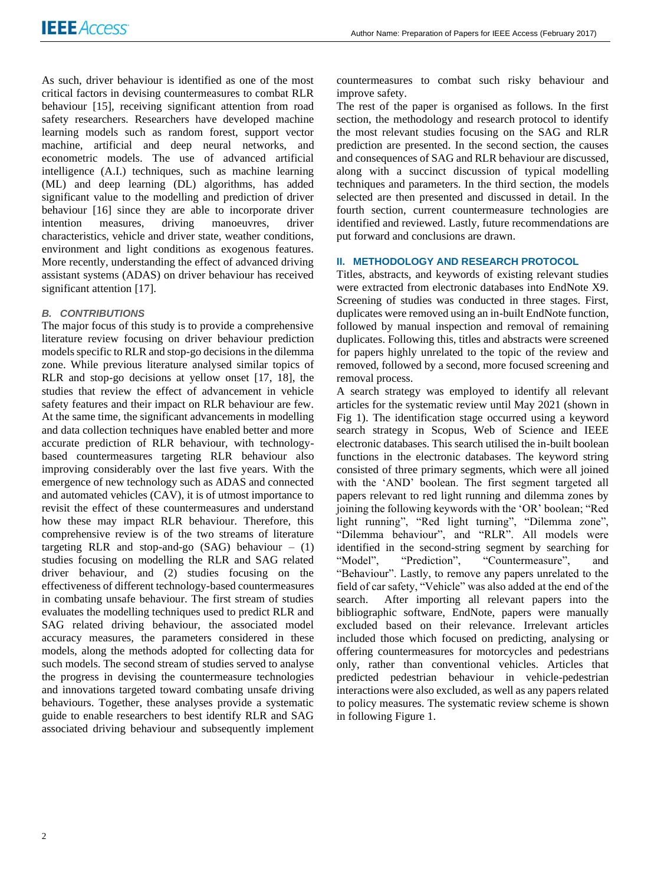As such, driver behaviour is identified as one of the most critical factors in devising countermeasures to combat RLR behaviour [15], receiving significant attention from road safety researchers. Researchers have developed machine learning models such as random forest, support vector machine, artificial and deep neural networks, and econometric models. The use of advanced artificial intelligence (A.I.) techniques, such as machine learning (ML) and deep learning (DL) algorithms, has added significant value to the modelling and prediction of driver behaviour [16] since they are able to incorporate driver intention measures, driving manoeuvres, driver characteristics, vehicle and driver state, weather conditions, environment and light conditions as exogenous features. More recently, understanding the effect of advanced driving assistant systems (ADAS) on driver behaviour has received significant attention [17].

# *B. CONTRIBUTIONS*

The major focus of this study is to provide a comprehensive literature review focusing on driver behaviour prediction models specific to RLR and stop-go decisions in the dilemma zone. While previous literature analysed similar topics of RLR and stop-go decisions at yellow onset [17, 18], the studies that review the effect of advancement in vehicle safety features and their impact on RLR behaviour are few. At the same time, the significant advancements in modelling and data collection techniques have enabled better and more accurate prediction of RLR behaviour, with technologybased countermeasures targeting RLR behaviour also improving considerably over the last five years. With the emergence of new technology such as ADAS and connected and automated vehicles (CAV), it is of utmost importance to revisit the effect of these countermeasures and understand how these may impact RLR behaviour. Therefore, this comprehensive review is of the two streams of literature targeting RLR and stop-and-go  $(SAG)$  behaviour – (1) studies focusing on modelling the RLR and SAG related driver behaviour, and (2) studies focusing on the effectiveness of different technology-based countermeasures in combating unsafe behaviour. The first stream of studies evaluates the modelling techniques used to predict RLR and SAG related driving behaviour, the associated model accuracy measures, the parameters considered in these models, along the methods adopted for collecting data for such models. The second stream of studies served to analyse the progress in devising the countermeasure technologies and innovations targeted toward combating unsafe driving behaviours. Together, these analyses provide a systematic guide to enable researchers to best identify RLR and SAG associated driving behaviour and subsequently implement countermeasures to combat such risky behaviour and improve safety.

The rest of the paper is organised as follows. In the first section, the methodology and research protocol to identify the most relevant studies focusing on the SAG and RLR prediction are presented. In the second section, the causes and consequences of SAG and RLR behaviour are discussed, along with a succinct discussion of typical modelling techniques and parameters. In the third section, the models selected are then presented and discussed in detail. In the fourth section, current countermeasure technologies are identified and reviewed. Lastly, future recommendations are put forward and conclusions are drawn.

# **II. METHODOLOGY AND RESEARCH PROTOCOL**

Titles, abstracts, and keywords of existing relevant studies were extracted from electronic databases into EndNote X9. Screening of studies was conducted in three stages. First, duplicates were removed using an in-built EndNote function, followed by manual inspection and removal of remaining duplicates. Following this, titles and abstracts were screened for papers highly unrelated to the topic of the review and removed, followed by a second, more focused screening and removal process.

A search strategy was employed to identify all relevant articles for the systematic review until May 2021 (shown in Fig 1). The identification stage occurred using a keyword search strategy in Scopus, Web of Science and IEEE electronic databases. This search utilised the in-built boolean functions in the electronic databases. The keyword string consisted of three primary segments, which were all joined with the 'AND' boolean. The first segment targeted all papers relevant to red light running and dilemma zones by joining the following keywords with the 'OR' boolean; "Red light running", "Red light turning", "Dilemma zone", "Dilemma behaviour", and "RLR". All models were identified in the second-string segment by searching for "Model", "Prediction", "Countermeasure", and "Behaviour". Lastly, to remove any papers unrelated to the field of car safety, "Vehicle" was also added at the end of the search. After importing all relevant papers into the bibliographic software, EndNote, papers were manually excluded based on their relevance. Irrelevant articles included those which focused on predicting, analysing or offering countermeasures for motorcycles and pedestrians only, rather than conventional vehicles. Articles that predicted pedestrian behaviour in vehicle-pedestrian interactions were also excluded, as well as any papers related to policy measures. The systematic review scheme is shown in following Figure 1.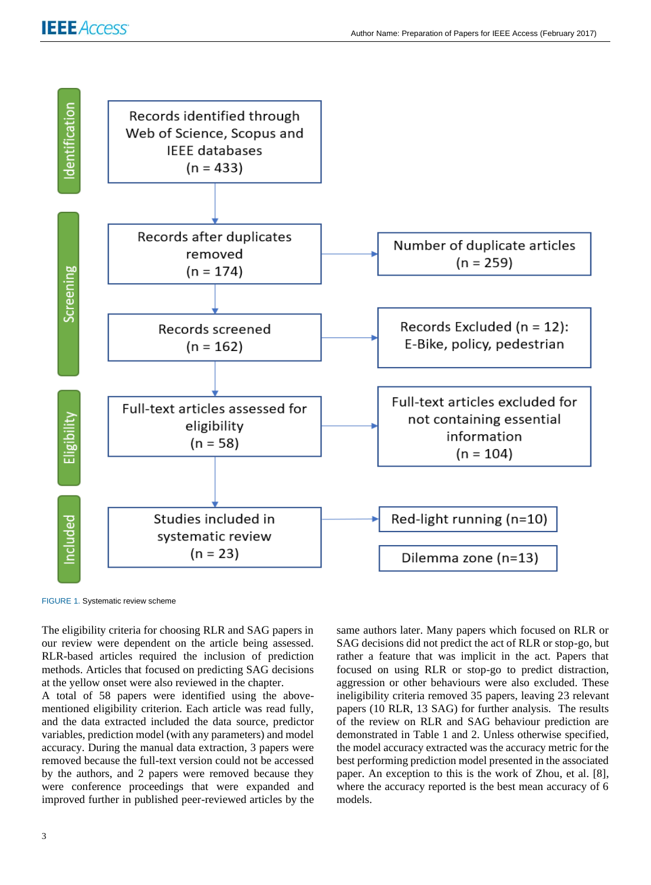

FIGURE 1. Systematic review scheme

The eligibility criteria for choosing RLR and SAG papers in our review were dependent on the article being assessed. RLR-based articles required the inclusion of prediction methods. Articles that focused on predicting SAG decisions at the yellow onset were also reviewed in the chapter.

A total of 58 papers were identified using the abovementioned eligibility criterion. Each article was read fully, and the data extracted included the data source, predictor variables, prediction model (with any parameters) and model accuracy. During the manual data extraction, 3 papers were removed because the full-text version could not be accessed by the authors, and 2 papers were removed because they were conference proceedings that were expanded and improved further in published peer-reviewed articles by the same authors later. Many papers which focused on RLR or SAG decisions did not predict the act of RLR or stop-go, but rather a feature that was implicit in the act. Papers that focused on using RLR or stop-go to predict distraction, aggression or other behaviours were also excluded. These ineligibility criteria removed 35 papers, leaving 23 relevant papers (10 RLR, 13 SAG) for further analysis. The results of the review on RLR and SAG behaviour prediction are demonstrated in Table 1 and 2. Unless otherwise specified, the model accuracy extracted was the accuracy metric for the best performing prediction model presented in the associated paper. An exception to this is the work of Zhou, et al. [8], where the accuracy reported is the best mean accuracy of 6 models.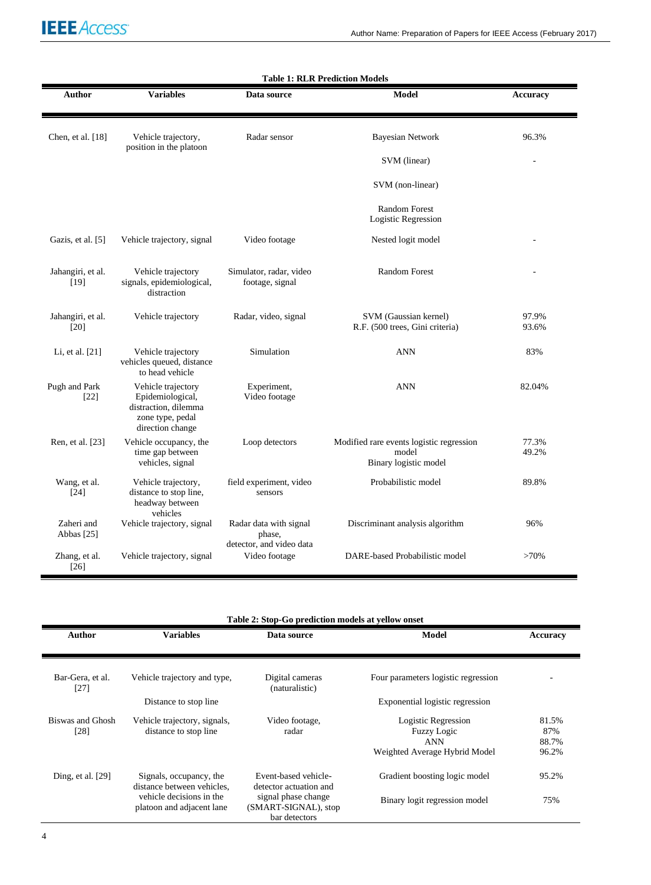

| <b>Table 1: RLR Prediction Models</b> |                                                                                                        |                                                              |                                                                            |                 |
|---------------------------------------|--------------------------------------------------------------------------------------------------------|--------------------------------------------------------------|----------------------------------------------------------------------------|-----------------|
| Author                                | <b>Variables</b>                                                                                       | Data source                                                  | Model                                                                      | <b>Accuracy</b> |
| Chen, et al. [18]                     | Vehicle trajectory,<br>position in the platoon                                                         | Radar sensor                                                 | <b>Bayesian Network</b>                                                    | 96.3%           |
|                                       |                                                                                                        |                                                              | SVM (linear)                                                               |                 |
|                                       |                                                                                                        |                                                              | SVM (non-linear)                                                           |                 |
|                                       |                                                                                                        |                                                              | <b>Random Forest</b><br>Logistic Regression                                |                 |
| Gazis, et al. [5]                     | Vehicle trajectory, signal                                                                             | Video footage                                                | Nested logit model                                                         |                 |
| Jahangiri, et al.<br>$[19]$           | Vehicle trajectory<br>signals, epidemiological,<br>distraction                                         | Simulator, radar, video<br>footage, signal                   | <b>Random Forest</b>                                                       |                 |
| Jahangiri, et al.<br>$[20]$           | Vehicle trajectory                                                                                     | Radar, video, signal                                         | SVM (Gaussian kernel)<br>R.F. (500 trees, Gini criteria)                   | 97.9%<br>93.6%  |
| Li, et al. [21]                       | Vehicle trajectory<br>vehicles queued, distance<br>to head vehicle                                     | Simulation                                                   | <b>ANN</b>                                                                 | 83%             |
| Pugh and Park<br>$[22]$               | Vehicle trajectory<br>Epidemiological,<br>distraction, dilemma<br>zone type, pedal<br>direction change | Experiment,<br>Video footage                                 | <b>ANN</b>                                                                 | 82.04%          |
| Ren, et al. [23]                      | Vehicle occupancy, the<br>time gap between<br>vehicles, signal                                         | Loop detectors                                               | Modified rare events logistic regression<br>model<br>Binary logistic model | 77.3%<br>49.2%  |
| Wang, et al.<br>$[24]$                | Vehicle trajectory,<br>distance to stop line,<br>headway between<br>vehicles                           | field experiment, video<br>sensors                           | Probabilistic model                                                        | 89.8%           |
| Zaheri and<br>Abbas [25]              | Vehicle trajectory, signal                                                                             | Radar data with signal<br>phase,<br>detector, and video data | Discriminant analysis algorithm                                            | 96%             |
| Zhang, et al.<br>$[26]$               | Vehicle trajectory, signal                                                                             | Video footage                                                | DARE-based Probabilistic model                                             | $>70\%$         |

**Table 2: Stop-Go prediction models at yellow onset**

| <b>Author</b>              | <b>Variables</b>                                      | Data source                                                  | <b>Model</b>                                     | Accuracy              |
|----------------------------|-------------------------------------------------------|--------------------------------------------------------------|--------------------------------------------------|-----------------------|
|                            |                                                       |                                                              |                                                  |                       |
| Bar-Gera, et al.<br>$[27]$ | Vehicle trajectory and type,                          | Digital cameras<br>(naturalistic)                            | Four parameters logistic regression              |                       |
|                            | Distance to stop line                                 |                                                              | Exponential logistic regression                  |                       |
| Biswas and Ghosh<br>[28]   | Vehicle trajectory, signals,<br>distance to stop line | Video footage,<br>radar                                      | Logistic Regression<br>Fuzzy Logic<br><b>ANN</b> | 81.5%<br>87%<br>88.7% |
|                            |                                                       |                                                              | Weighted Average Hybrid Model                    | 96.2%                 |
| Ding, et al. [29]          | Signals, occupancy, the<br>distance between vehicles, | Event-based vehicle-<br>detector actuation and               | Gradient boosting logic model                    | 95.2%                 |
|                            | vehicle decisions in the<br>platoon and adjacent lane | signal phase change<br>(SMART-SIGNAL), stop<br>bar detectors | Binary logit regression model                    | 75%                   |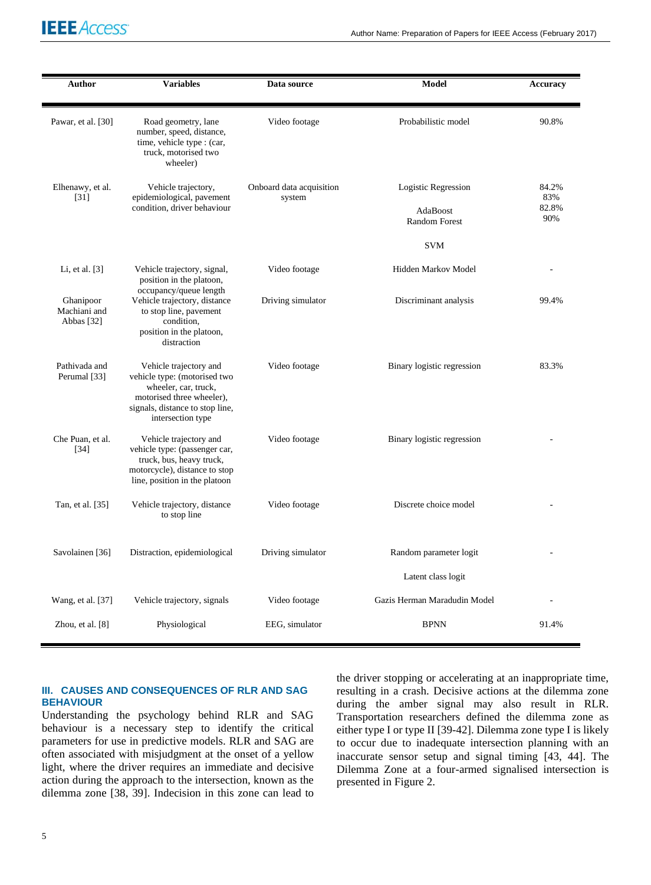# **IEEE** Access<sup>®</sup>

| Author                                  | <b>Variables</b>                                                                                                                                                    | Data source                        | Model                                                   | <b>Accuracy</b>              |
|-----------------------------------------|---------------------------------------------------------------------------------------------------------------------------------------------------------------------|------------------------------------|---------------------------------------------------------|------------------------------|
| Pawar, et al. [30]                      | Road geometry, lane<br>number, speed, distance,<br>time, vehicle type : (car,<br>truck, motorised two<br>wheeler)                                                   | Video footage                      | Probabilistic model                                     | 90.8%                        |
| Elhenawy, et al.<br>$[31]$              | Vehicle trajectory,<br>epidemiological, pavement<br>condition, driver behaviour                                                                                     | Onboard data acquisition<br>system | Logistic Regression<br>AdaBoost<br><b>Random Forest</b> | 84.2%<br>83%<br>82.8%<br>90% |
|                                         |                                                                                                                                                                     |                                    | <b>SVM</b>                                              |                              |
| Li, et al. $[3]$                        | Vehicle trajectory, signal,<br>position in the platoon,                                                                                                             | Video footage                      | Hidden Markov Model                                     |                              |
| Ghanipoor<br>Machiani and<br>Abbas [32] | occupancy/queue length<br>Vehicle trajectory, distance<br>to stop line, pavement<br>condition,<br>position in the platoon,<br>distraction                           | Driving simulator                  | Discriminant analysis                                   | 99.4%                        |
| Pathivada and<br>Perumal [33]           | Vehicle trajectory and<br>vehicle type: (motorised two<br>wheeler, car, truck,<br>motorised three wheeler),<br>signals, distance to stop line,<br>intersection type | Video footage                      | Binary logistic regression                              | 83.3%                        |
| Che Puan, et al.<br>$[34]$              | Vehicle trajectory and<br>vehicle type: (passenger car,<br>truck, bus, heavy truck,<br>motorcycle), distance to stop<br>line, position in the platoon               | Video footage                      | Binary logistic regression                              |                              |
| Tan, et al. [35]                        | Vehicle trajectory, distance<br>to stop line                                                                                                                        | Video footage                      | Discrete choice model                                   |                              |
| Savolainen [36]                         | Distraction, epidemiological                                                                                                                                        | Driving simulator                  | Random parameter logit                                  |                              |
|                                         |                                                                                                                                                                     |                                    | Latent class logit                                      |                              |
| Wang, et al. [37]                       | Vehicle trajectory, signals                                                                                                                                         | Video footage                      | Gazis Herman Maradudin Model                            |                              |
| Zhou, et al. $[8]$                      | Physiological                                                                                                                                                       | EEG, simulator                     | <b>BPNN</b>                                             | 91.4%                        |

#### **III. CAUSES AND CONSEQUENCES OF RLR AND SAG BEHAVIOUR**

Understanding the psychology behind RLR and SAG behaviour is a necessary step to identify the critical parameters for use in predictive models. RLR and SAG are often associated with misjudgment at the onset of a yellow light, where the driver requires an immediate and decisive action during the approach to the intersection, known as the dilemma zone [38, 39]. Indecision in this zone can lead to the driver stopping or accelerating at an inappropriate time, resulting in a crash. Decisive actions at the dilemma zone during the amber signal may also result in RLR. Transportation researchers defined the dilemma zone as either type I or type II [39-42]. Dilemma zone type I is likely to occur due to inadequate intersection planning with an inaccurate sensor setup and signal timing [43, 44]. The Dilemma Zone at a four-armed signalised intersection is presented in Figure 2.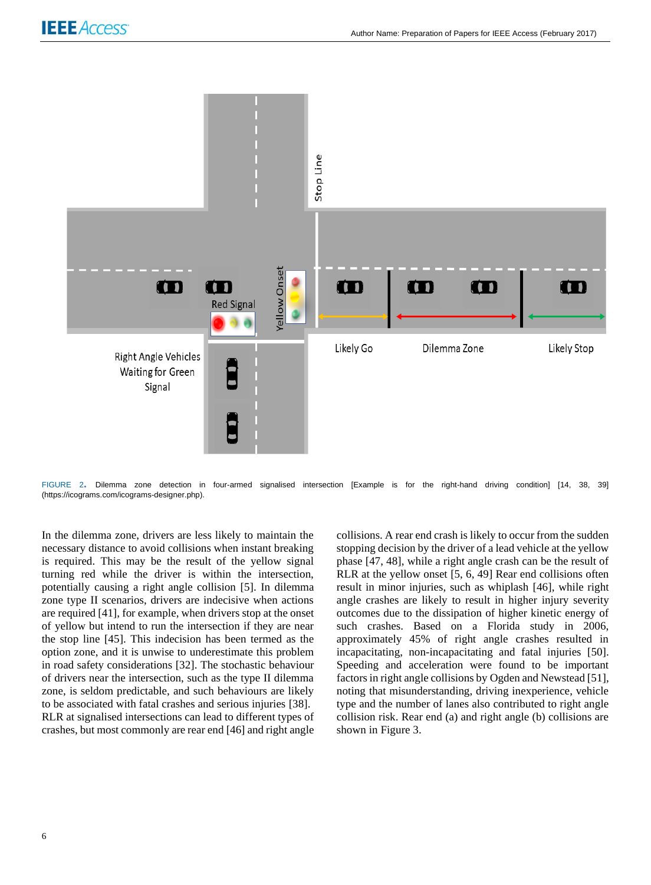

FIGURE 2**.** Dilemma zone detection in four-armed signalised intersection [Example is for the right-hand driving condition] [14, 38, 39] (https://icograms.com/icograms-designer.php).

In the dilemma zone, drivers are less likely to maintain the necessary distance to avoid collisions when instant breaking is required. This may be the result of the yellow signal turning red while the driver is within the intersection, potentially causing a right angle collision [5]. In dilemma zone type II scenarios, drivers are indecisive when actions are required [41], for example, when drivers stop at the onset of yellow but intend to run the intersection if they are near the stop line [45]. This indecision has been termed as the option zone, and it is unwise to underestimate this problem in road safety considerations [32]. The stochastic behaviour of drivers near the intersection, such as the type II dilemma zone, is seldom predictable, and such behaviours are likely to be associated with fatal crashes and serious injuries [38]. RLR at signalised intersections can lead to different types of crashes, but most commonly are rear end [46] and right angle

collisions. A rear end crash is likely to occur from the sudden stopping decision by the driver of a lead vehicle at the yellow phase [47, 48], while a right angle crash can be the result of RLR at the yellow onset [5, 6, 49] Rear end collisions often result in minor injuries, such as whiplash [46], while right angle crashes are likely to result in higher injury severity outcomes due to the dissipation of higher kinetic energy of such crashes. Based on a Florida study in 2006, approximately 45% of right angle crashes resulted in incapacitating, non-incapacitating and fatal injuries [50]. Speeding and acceleration were found to be important factors in right angle collisions by Ogden and Newstead [51], noting that misunderstanding, driving inexperience, vehicle type and the number of lanes also contributed to right angle collision risk. Rear end (a) and right angle (b) collisions are shown in Figure 3.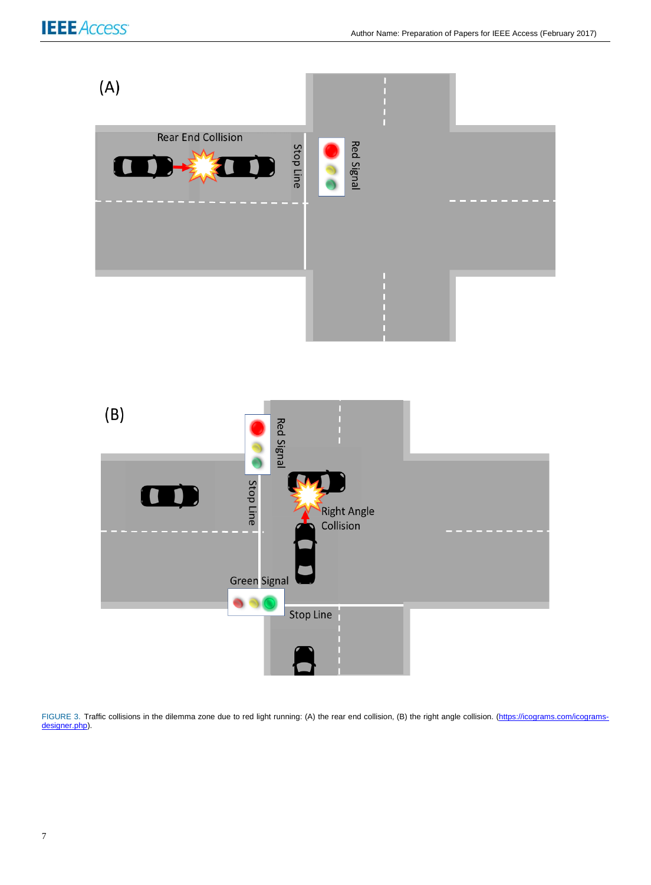

FIGURE 3. Traffic collisions in the dilemma zone due to red light running: (A) the rear end collision, (B) the right angle collision. [\(https://icograms.com/icograms](https://icograms.com/icograms-designer.php)[designer.php\).](https://icograms.com/icograms-designer.php)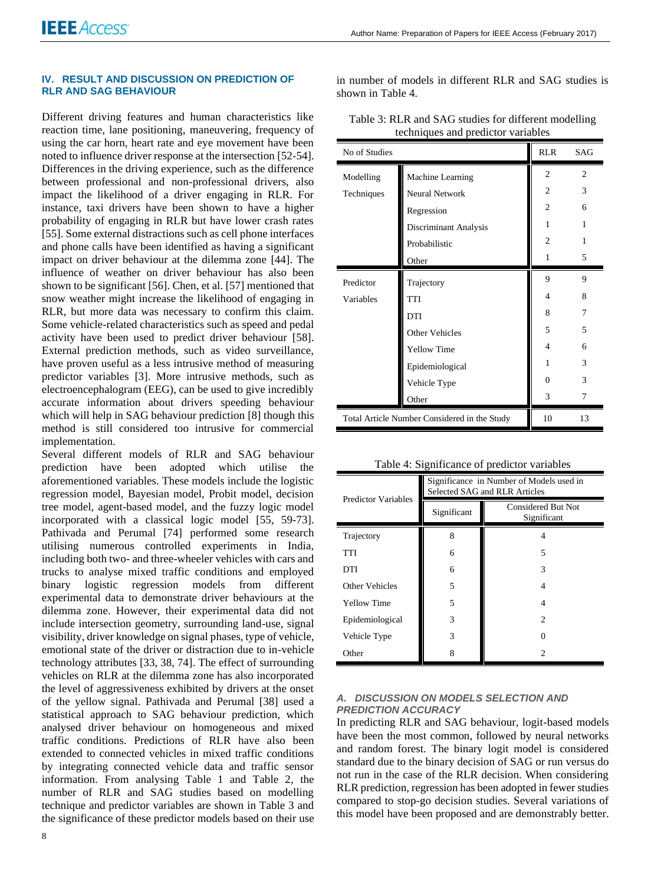#### **IV. RESULT AND DISCUSSION ON PREDICTION OF RLR AND SAG BEHAVIOUR**

Different driving features and human characteristics like reaction time, lane positioning, maneuvering, frequency of using the car horn, heart rate and eye movement have been noted to influence driver response at the intersection [52-54]. Differences in the driving experience, such as the difference between professional and non-professional drivers, also impact the likelihood of a driver engaging in RLR. For instance, taxi drivers have been shown to have a higher probability of engaging in RLR but have lower crash rates [55]. Some external distractions such as cell phone interfaces and phone calls have been identified as having a significant impact on driver behaviour at the dilemma zone [44]. The influence of weather on driver behaviour has also been shown to be significant [56]. Chen, et al. [57] mentioned that snow weather might increase the likelihood of engaging in RLR, but more data was necessary to confirm this claim. Some vehicle-related characteristics such as speed and pedal activity have been used to predict driver behaviour [58]. External prediction methods, such as video surveillance, have proven useful as a less intrusive method of measuring predictor variables [3]. More intrusive methods, such as electroencephalogram (EEG), can be used to give incredibly accurate information about drivers speeding behaviour which will help in SAG behaviour prediction [8] though this method is still considered too intrusive for commercial implementation.

Several different models of RLR and SAG behaviour prediction have been adopted which utilise the aforementioned variables. These models include the logistic regression model, Bayesian model, Probit model, decision tree model, agent-based model, and the fuzzy logic model incorporated with a classical logic model [55, 59-73]. Pathivada and Perumal [74] performed some research utilising numerous controlled experiments in India, including both two- and three-wheeler vehicles with cars and trucks to analyse mixed traffic conditions and employed binary logistic regression models from different experimental data to demonstrate driver behaviours at the dilemma zone. However, their experimental data did not include intersection geometry, surrounding land-use, signal visibility, driver knowledge on signal phases, type of vehicle, emotional state of the driver or distraction due to in-vehicle technology attributes [33, 38, 74]. The effect of surrounding vehicles on RLR at the dilemma zone has also incorporated the level of aggressiveness exhibited by drivers at the onset of the yellow signal. Pathivada and Perumal [38] used a statistical approach to SAG behaviour prediction, which analysed driver behaviour on homogeneous and mixed traffic conditions. Predictions of RLR have also been extended to connected vehicles in mixed traffic conditions by integrating connected vehicle data and traffic sensor information. From analysing Table 1 and Table 2, the number of RLR and SAG studies based on modelling technique and predictor variables are shown in Table 3 and the significance of these predictor models based on their use

in number of models in different RLR and SAG studies is shown in Table 4.

| No of Studies                                | <b>RLR</b>            | <b>SAG</b>     |               |
|----------------------------------------------|-----------------------|----------------|---------------|
| Modelling                                    | Machine Learning      | $\overline{c}$ | 2             |
| Techniques                                   | Neural Network        | 2              | 3             |
|                                              | Regression            | 2              | 6             |
|                                              | Discriminant Analysis | 1              | 1             |
|                                              | Probabilistic         | $\overline{c}$ | 1             |
|                                              | Other                 | 1              | 5             |
| Predictor                                    | Trajectory            | 9              | 9             |
| Variables                                    | <b>TTI</b>            | 4              | 8             |
|                                              | <b>DTI</b>            | 8              | 7             |
|                                              | Other Vehicles        | 5              | 5             |
|                                              | <b>Yellow Time</b>    | 4              | 6             |
|                                              | Epidemiological       | 1              | $\mathcal{R}$ |
|                                              | Vehicle Type          | 0              | 3             |
|                                              | Other                 | 3              | 7             |
| Total Article Number Considered in the Study |                       | 10             | 13            |

Table 3: RLR and SAG studies for different modelling techniques and predictor variables

Table 4: Significance of predictor variables

| <b>Predictor Variables</b> | Significance in Number of Models used in<br>Selected SAG and RLR Articles |                                   |  |
|----------------------------|---------------------------------------------------------------------------|-----------------------------------|--|
|                            | Significant                                                               | Considered But Not<br>Significant |  |
| Trajectory                 | 8                                                                         | 4                                 |  |
| TTI                        | 6                                                                         | 5                                 |  |
| DTI                        | 6                                                                         | 3                                 |  |
| <b>Other Vehicles</b>      | 5                                                                         | 4                                 |  |
| <b>Yellow Time</b>         | 5                                                                         | 4                                 |  |
| Epidemiological            | 3                                                                         | $\mathfrak{D}$                    |  |
| Vehicle Type               | 3                                                                         |                                   |  |
| Other                      | 8                                                                         | 2                                 |  |

#### *A. DISCUSSION ON MODELS SELECTION AND PREDICTION ACCURACY*

In predicting RLR and SAG behaviour, logit-based models have been the most common, followed by neural networks and random forest. The binary logit model is considered standard due to the binary decision of SAG or run versus do not run in the case of the RLR decision. When considering RLR prediction, regression has been adopted in fewer studies compared to stop-go decision studies. Several variations of this model have been proposed and are demonstrably better.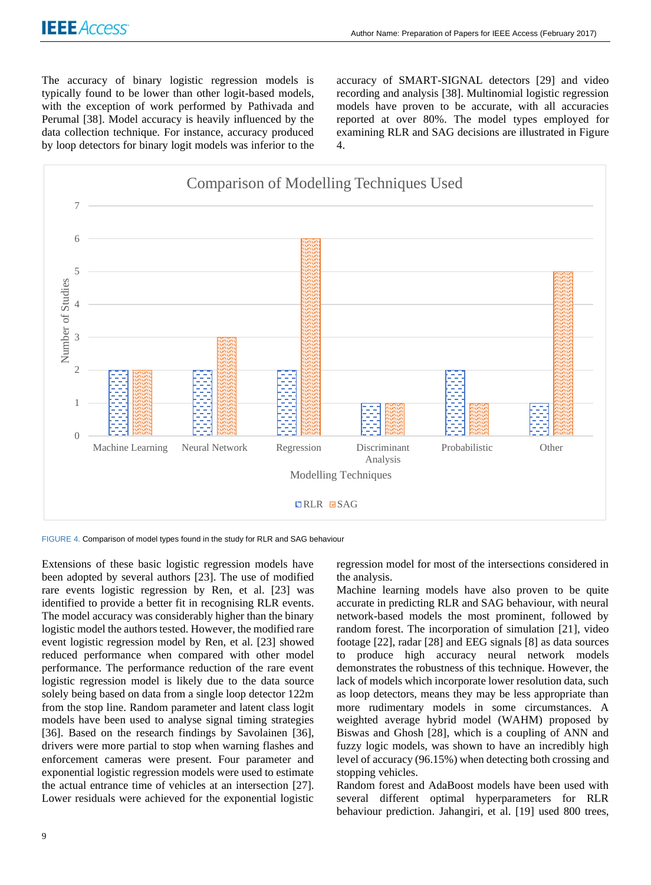The accuracy of binary logistic regression models is typically found to be lower than other logit-based models, with the exception of work performed by Pathivada and Perumal [38]. Model accuracy is heavily influenced by the data collection technique. For instance, accuracy produced by loop detectors for binary logit models was inferior to the

accuracy of SMART-SIGNAL detectors [29] and video recording and analysis [38]. Multinomial logistic regression models have proven to be accurate, with all accuracies reported at over 80%. The model types employed for examining RLR and SAG decisions are illustrated in Figure 4.



FIGURE 4. Comparison of model types found in the study for RLR and SAG behaviour

Extensions of these basic logistic regression models have been adopted by several authors [23]. The use of modified rare events logistic regression by Ren, et al. [23] was identified to provide a better fit in recognising RLR events. The model accuracy was considerably higher than the binary logistic model the authors tested. However, the modified rare event logistic regression model by Ren, et al. [23] showed reduced performance when compared with other model performance. The performance reduction of the rare event logistic regression model is likely due to the data source solely being based on data from a single loop detector 122m from the stop line. Random parameter and latent class logit models have been used to analyse signal timing strategies [36]. Based on the research findings by Savolainen [36], drivers were more partial to stop when warning flashes and enforcement cameras were present. Four parameter and exponential logistic regression models were used to estimate the actual entrance time of vehicles at an intersection [27]. Lower residuals were achieved for the exponential logistic

regression model for most of the intersections considered in the analysis.

Machine learning models have also proven to be quite accurate in predicting RLR and SAG behaviour, with neural network-based models the most prominent, followed by random forest. The incorporation of simulation [21], video footage [22], radar [28] and EEG signals [8] as data sources to produce high accuracy neural network models demonstrates the robustness of this technique. However, the lack of models which incorporate lower resolution data, such as loop detectors, means they may be less appropriate than more rudimentary models in some circumstances. A weighted average hybrid model (WAHM) proposed by Biswas and Ghosh [28], which is a coupling of ANN and fuzzy logic models, was shown to have an incredibly high level of accuracy (96.15%) when detecting both crossing and stopping vehicles.

Random forest and AdaBoost models have been used with several different optimal hyperparameters for RLR behaviour prediction. Jahangiri, et al. [19] used 800 trees,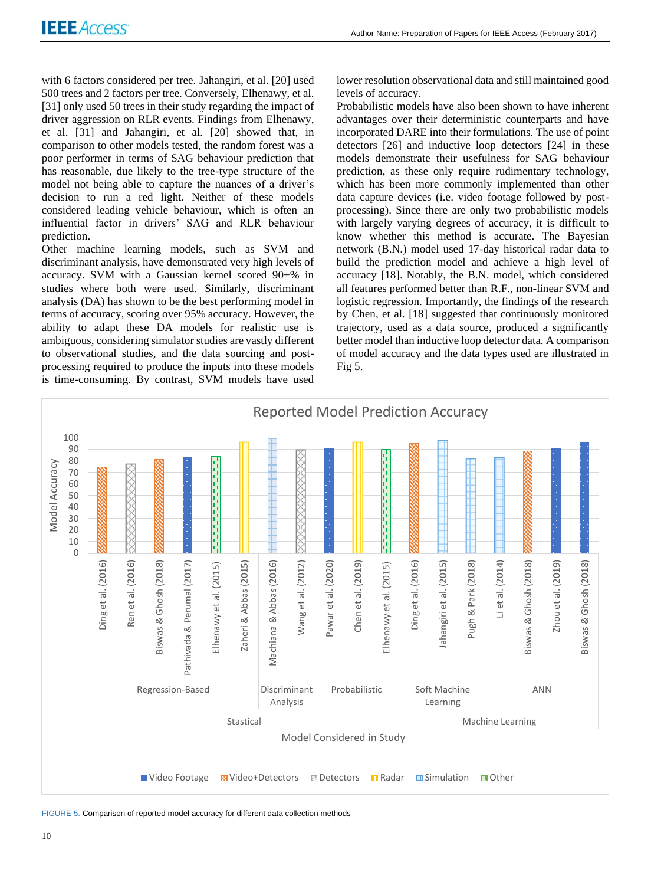with 6 factors considered per tree. Jahangiri, et al. [20] used 500 trees and 2 factors per tree. Conversely, Elhenawy, et al. [31] only used 50 trees in their study regarding the impact of driver aggression on RLR events. Findings from Elhenawy, et al. [31] and Jahangiri, et al. [20] showed that, in comparison to other models tested, the random forest was a poor performer in terms of SAG behaviour prediction that has reasonable, due likely to the tree-type structure of the model not being able to capture the nuances of a driver's decision to run a red light. Neither of these models considered leading vehicle behaviour, which is often an influential factor in drivers' SAG and RLR behaviour prediction.

Other machine learning models, such as SVM and discriminant analysis, have demonstrated very high levels of accuracy. SVM with a Gaussian kernel scored 90+% in studies where both were used. Similarly, discriminant analysis (DA) has shown to be the best performing model in terms of accuracy, scoring over 95% accuracy. However, the ability to adapt these DA models for realistic use is ambiguous, considering simulator studies are vastly different to observational studies, and the data sourcing and postprocessing required to produce the inputs into these models is time-consuming. By contrast, SVM models have used

lower resolution observational data and still maintained good levels of accuracy.

Probabilistic models have also been shown to have inherent advantages over their deterministic counterparts and have incorporated DARE into their formulations. The use of point detectors [26] and inductive loop detectors [24] in these models demonstrate their usefulness for SAG behaviour prediction, as these only require rudimentary technology, which has been more commonly implemented than other data capture devices (i.e. video footage followed by postprocessing). Since there are only two probabilistic models with largely varying degrees of accuracy, it is difficult to know whether this method is accurate. The Bayesian network (B.N.) model used 17-day historical radar data to build the prediction model and achieve a high level of accuracy [18]. Notably, the B.N. model, which considered all features performed better than R.F., non-linear SVM and logistic regression. Importantly, the findings of the research by Chen, et al. [18] suggested that continuously monitored trajectory, used as a data source, produced a significantly better model than inductive loop detector data. A comparison of model accuracy and the data types used are illustrated in Fig 5.



FIGURE 5. Comparison of reported model accuracy for different data collection methods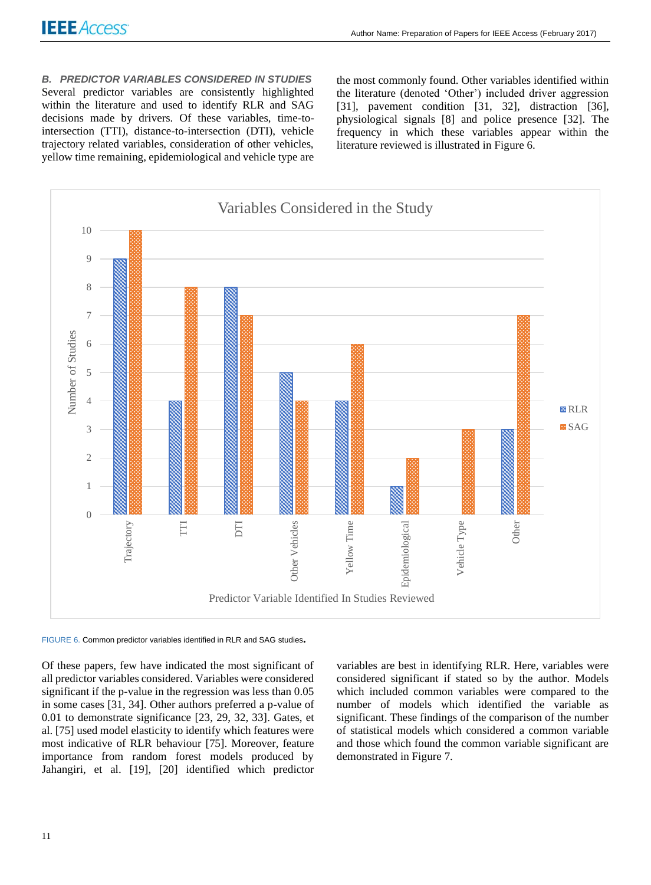*B. PREDICTOR VARIABLES CONSIDERED IN STUDIES* Several predictor variables are consistently highlighted within the literature and used to identify RLR and SAG decisions made by drivers. Of these variables, time-tointersection (TTI), distance-to-intersection (DTI), vehicle trajectory related variables, consideration of other vehicles, yellow time remaining, epidemiological and vehicle type are

the most commonly found. Other variables identified within the literature (denoted 'Other') included driver aggression [31], pavement condition [31, 32], distraction [36], physiological signals [8] and police presence [32]. The frequency in which these variables appear within the literature reviewed is illustrated in Figure 6.



FIGURE 6. Common predictor variables identified in RLR and SAG studies**.**

Of these papers, few have indicated the most significant of all predictor variables considered. Variables were considered significant if the p-value in the regression was less than 0.05 in some cases [31, 34]. Other authors preferred a p-value of 0.01 to demonstrate significance [23, 29, 32, 33]. Gates, et al. [75] used model elasticity to identify which features were most indicative of RLR behaviour [75]. Moreover, feature importance from random forest models produced by Jahangiri, et al. [19], [20] identified which predictor variables are best in identifying RLR. Here, variables were considered significant if stated so by the author. Models which included common variables were compared to the number of models which identified the variable as significant. These findings of the comparison of the number of statistical models which considered a common variable and those which found the common variable significant are demonstrated in Figure 7.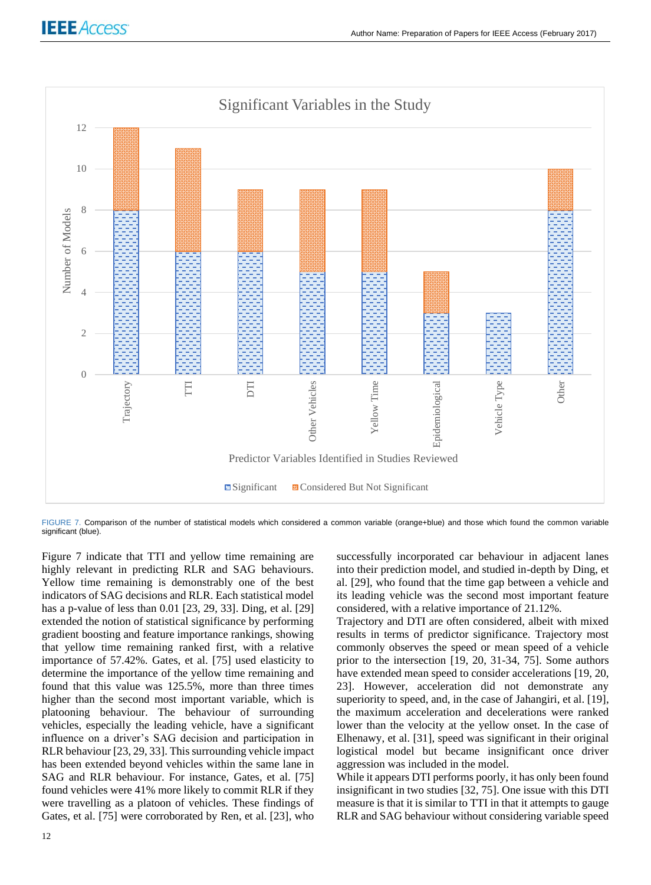

FIGURE 7. Comparison of the number of statistical models which considered a common variable (orange+blue) and those which found the common variable significant (blue).

Figure 7 indicate that TTI and yellow time remaining are highly relevant in predicting RLR and SAG behaviours. Yellow time remaining is demonstrably one of the best indicators of SAG decisions and RLR. Each statistical model has a p-value of less than 0.01 [23, 29, 33]. Ding, et al. [29] extended the notion of statistical significance by performing gradient boosting and feature importance rankings, showing that yellow time remaining ranked first, with a relative importance of 57.42%. Gates, et al. [75] used elasticity to determine the importance of the yellow time remaining and found that this value was 125.5%, more than three times higher than the second most important variable, which is platooning behaviour. The behaviour of surrounding vehicles, especially the leading vehicle, have a significant influence on a driver's SAG decision and participation in RLR behaviour [23, 29, 33]. This surrounding vehicle impact has been extended beyond vehicles within the same lane in SAG and RLR behaviour. For instance, Gates, et al. [75] found vehicles were 41% more likely to commit RLR if they were travelling as a platoon of vehicles. These findings of Gates, et al. [75] were corroborated by Ren, et al. [23], who

successfully incorporated car behaviour in adjacent lanes into their prediction model, and studied in-depth by Ding, et al. [29], who found that the time gap between a vehicle and its leading vehicle was the second most important feature considered, with a relative importance of 21.12%.

Trajectory and DTI are often considered, albeit with mixed results in terms of predictor significance. Trajectory most commonly observes the speed or mean speed of a vehicle prior to the intersection [19, 20, 31-34, 75]. Some authors have extended mean speed to consider accelerations [19, 20, 23]. However, acceleration did not demonstrate any superiority to speed, and, in the case of Jahangiri, et al. [19], the maximum acceleration and decelerations were ranked lower than the velocity at the yellow onset. In the case of Elhenawy, et al. [31], speed was significant in their original logistical model but became insignificant once driver aggression was included in the model.

While it appears DTI performs poorly, it has only been found insignificant in two studies [32, 75]. One issue with this DTI measure is that it is similar to TTI in that it attempts to gauge RLR and SAG behaviour without considering variable speed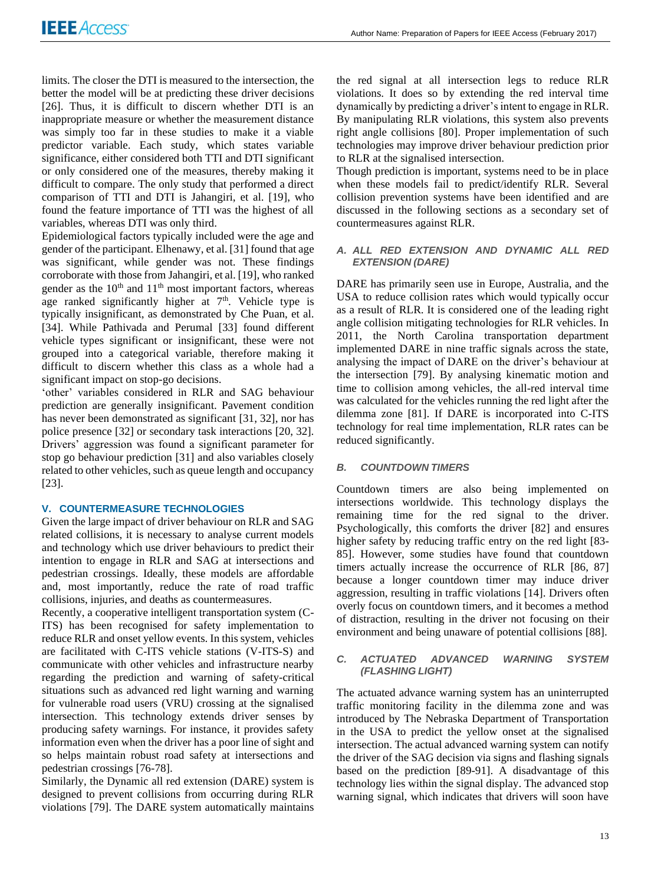limits. The closer the DTI is measured to the intersection, the better the model will be at predicting these driver decisions [26]. Thus, it is difficult to discern whether DTI is an inappropriate measure or whether the measurement distance was simply too far in these studies to make it a viable predictor variable. Each study, which states variable significance, either considered both TTI and DTI significant or only considered one of the measures, thereby making it difficult to compare. The only study that performed a direct comparison of TTI and DTI is Jahangiri, et al. [19], who found the feature importance of TTI was the highest of all variables, whereas DTI was only third.

Epidemiological factors typically included were the age and gender of the participant. Elhenawy, et al. [31] found that age was significant, while gender was not. These findings corroborate with those from Jahangiri, et al. [19], who ranked gender as the 10<sup>th</sup> and 11<sup>th</sup> most important factors, whereas age ranked significantly higher at  $7<sup>th</sup>$ . Vehicle type is typically insignificant, as demonstrated by Che Puan, et al. [34]. While Pathivada and Perumal [33] found different vehicle types significant or insignificant, these were not grouped into a categorical variable, therefore making it difficult to discern whether this class as a whole had a significant impact on stop-go decisions.

'other' variables considered in RLR and SAG behaviour prediction are generally insignificant. Pavement condition has never been demonstrated as significant [31, 32], nor has police presence [32] or secondary task interactions [20, 32]. Drivers' aggression was found a significant parameter for stop go behaviour prediction [31] and also variables closely related to other vehicles, such as queue length and occupancy [23].

# **V. COUNTERMEASURE TECHNOLOGIES**

Given the large impact of driver behaviour on RLR and SAG related collisions, it is necessary to analyse current models and technology which use driver behaviours to predict their intention to engage in RLR and SAG at intersections and pedestrian crossings. Ideally, these models are affordable and, most importantly, reduce the rate of road traffic collisions, injuries, and deaths as countermeasures.

Recently, a cooperative intelligent transportation system (C-ITS) has been recognised for safety implementation to reduce RLR and onset yellow events. In this system, vehicles are facilitated with C-ITS vehicle stations (V-ITS-S) and communicate with other vehicles and infrastructure nearby regarding the prediction and warning of safety-critical situations such as advanced red light warning and warning for vulnerable road users (VRU) crossing at the signalised intersection. This technology extends driver senses by producing safety warnings. For instance, it provides safety information even when the driver has a poor line of sight and so helps maintain robust road safety at intersections and pedestrian crossings [76-78].

Similarly, the Dynamic all red extension (DARE) system is designed to prevent collisions from occurring during RLR violations [79]. The DARE system automatically maintains the red signal at all intersection legs to reduce RLR violations. It does so by extending the red interval time dynamically by predicting a driver's intent to engage in RLR. By manipulating RLR violations, this system also prevents right angle collisions [80]. Proper implementation of such technologies may improve driver behaviour prediction prior to RLR at the signalised intersection.

Though prediction is important, systems need to be in place when these models fail to predict/identify RLR. Several collision prevention systems have been identified and are discussed in the following sections as a secondary set of countermeasures against RLR.

# *A. ALL RED EXTENSION AND DYNAMIC ALL RED EXTENSION (DARE)*

DARE has primarily seen use in Europe, Australia, and the USA to reduce collision rates which would typically occur as a result of RLR. It is considered one of the leading right angle collision mitigating technologies for RLR vehicles. In 2011, the North Carolina transportation department implemented DARE in nine traffic signals across the state, analysing the impact of DARE on the driver's behaviour at the intersection [79]. By analysing kinematic motion and time to collision among vehicles, the all-red interval time was calculated for the vehicles running the red light after the dilemma zone [81]. If DARE is incorporated into C-ITS technology for real time implementation, RLR rates can be reduced significantly.

# *B. COUNTDOWN TIMERS*

Countdown timers are also being implemented on intersections worldwide. This technology displays the remaining time for the red signal to the driver. Psychologically, this comforts the driver [82] and ensures higher safety by reducing traffic entry on the red light [83- 85]. However, some studies have found that countdown timers actually increase the occurrence of RLR [86, 87] because a longer countdown timer may induce driver aggression, resulting in traffic violations [14]. Drivers often overly focus on countdown timers, and it becomes a method of distraction, resulting in the driver not focusing on their environment and being unaware of potential collisions [88].

# *C. ACTUATED ADVANCED WARNING SYSTEM (FLASHING LIGHT)*

The actuated advance warning system has an uninterrupted traffic monitoring facility in the dilemma zone and was introduced by The Nebraska Department of Transportation in the USA to predict the yellow onset at the signalised intersection. The actual advanced warning system can notify the driver of the SAG decision via signs and flashing signals based on the prediction [89-91]. A disadvantage of this technology lies within the signal display. The advanced stop warning signal, which indicates that drivers will soon have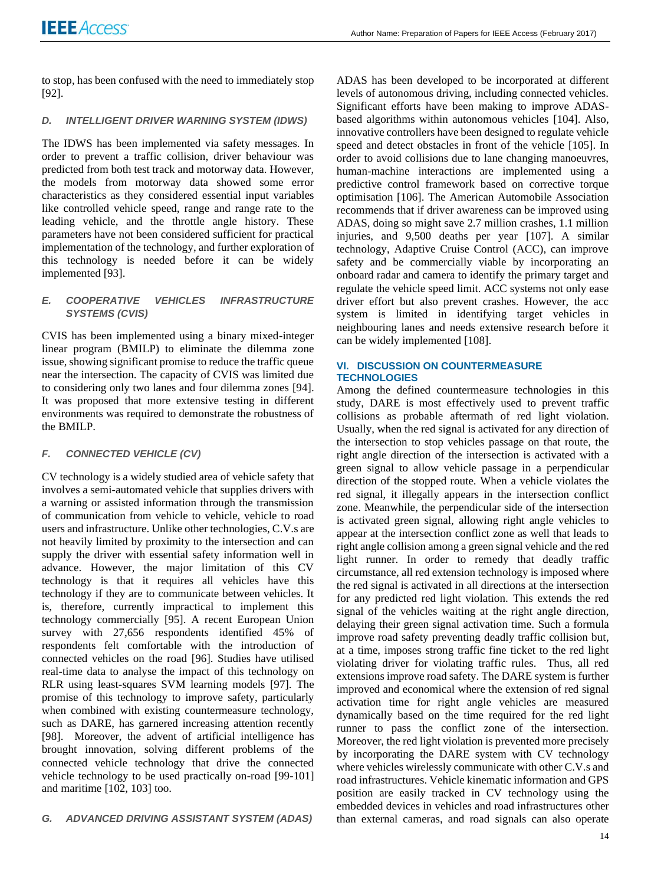to stop, has been confused with the need to immediately stop [92].

# *D. INTELLIGENT DRIVER WARNING SYSTEM (IDWS)*

The IDWS has been implemented via safety messages. In order to prevent a traffic collision, driver behaviour was predicted from both test track and motorway data. However, the models from motorway data showed some error characteristics as they considered essential input variables like controlled vehicle speed, range and range rate to the leading vehicle, and the throttle angle history. These parameters have not been considered sufficient for practical implementation of the technology, and further exploration of this technology is needed before it can be widely implemented [93].

# *E. COOPERATIVE VEHICLES INFRASTRUCTURE SYSTEMS (CVIS)*

CVIS has been implemented using a binary mixed-integer linear program (BMILP) to eliminate the dilemma zone issue, showing significant promise to reduce the traffic queue near the intersection. The capacity of CVIS was limited due to considering only two lanes and four dilemma zones [94]. It was proposed that more extensive testing in different environments was required to demonstrate the robustness of the BMILP.

# *F. CONNECTED VEHICLE (CV)*

CV technology is a widely studied area of vehicle safety that involves a semi-automated vehicle that supplies drivers with a warning or assisted information through the transmission of communication from vehicle to vehicle, vehicle to road users and infrastructure. Unlike other technologies, C.V.s are not heavily limited by proximity to the intersection and can supply the driver with essential safety information well in advance. However, the major limitation of this CV technology is that it requires all vehicles have this technology if they are to communicate between vehicles. It is, therefore, currently impractical to implement this technology commercially [95]. A recent European Union survey with 27,656 respondents identified 45% of respondents felt comfortable with the introduction of connected vehicles on the road [96]. Studies have utilised real-time data to analyse the impact of this technology on RLR using least-squares SVM learning models [97]. The promise of this technology to improve safety, particularly when combined with existing countermeasure technology, such as DARE, has garnered increasing attention recently [98]. Moreover, the advent of artificial intelligence has brought innovation, solving different problems of the connected vehicle technology that drive the connected vehicle technology to be used practically on-road [99-101] and maritime [102, 103] too.

ADAS has been developed to be incorporated at different levels of autonomous driving, including connected vehicles. Significant efforts have been making to improve ADASbased algorithms within autonomous vehicles [104]. Also, innovative controllers have been designed to regulate vehicle speed and detect obstacles in front of the vehicle [105]. In order to avoid collisions due to lane changing manoeuvres, human-machine interactions are implemented using a predictive control framework based on corrective torque optimisation [106]. The American Automobile Association recommends that if driver awareness can be improved using ADAS, doing so might save 2.7 million crashes, 1.1 million injuries, and 9,500 deaths per year [107]. A similar technology, Adaptive Cruise Control (ACC), can improve safety and be commercially viable by incorporating an onboard radar and camera to identify the primary target and regulate the vehicle speed limit. ACC systems not only ease driver effort but also prevent crashes. However, the acc system is limited in identifying target vehicles in neighbouring lanes and needs extensive research before it can be widely implemented [108].

# **VI. DISCUSSION ON COUNTERMEASURE TECHNOLOGIES**

Among the defined countermeasure technologies in this study, DARE is most effectively used to prevent traffic collisions as probable aftermath of red light violation. Usually, when the red signal is activated for any direction of the intersection to stop vehicles passage on that route, the right angle direction of the intersection is activated with a green signal to allow vehicle passage in a perpendicular direction of the stopped route. When a vehicle violates the red signal, it illegally appears in the intersection conflict zone. Meanwhile, the perpendicular side of the intersection is activated green signal, allowing right angle vehicles to appear at the intersection conflict zone as well that leads to right angle collision among a green signal vehicle and the red light runner. In order to remedy that deadly traffic circumstance, all red extension technology is imposed where the red signal is activated in all directions at the intersection for any predicted red light violation. This extends the red signal of the vehicles waiting at the right angle direction, delaying their green signal activation time. Such a formula improve road safety preventing deadly traffic collision but, at a time, imposes strong traffic fine ticket to the red light violating driver for violating traffic rules. Thus, all red extensions improve road safety. The DARE system is further improved and economical where the extension of red signal activation time for right angle vehicles are measured dynamically based on the time required for the red light runner to pass the conflict zone of the intersection. Moreover, the red light violation is prevented more precisely by incorporating the DARE system with CV technology where vehicles wirelessly communicate with other C.V.s and road infrastructures. Vehicle kinematic information and GPS position are easily tracked in CV technology using the embedded devices in vehicles and road infrastructures other than external cameras, and road signals can also operate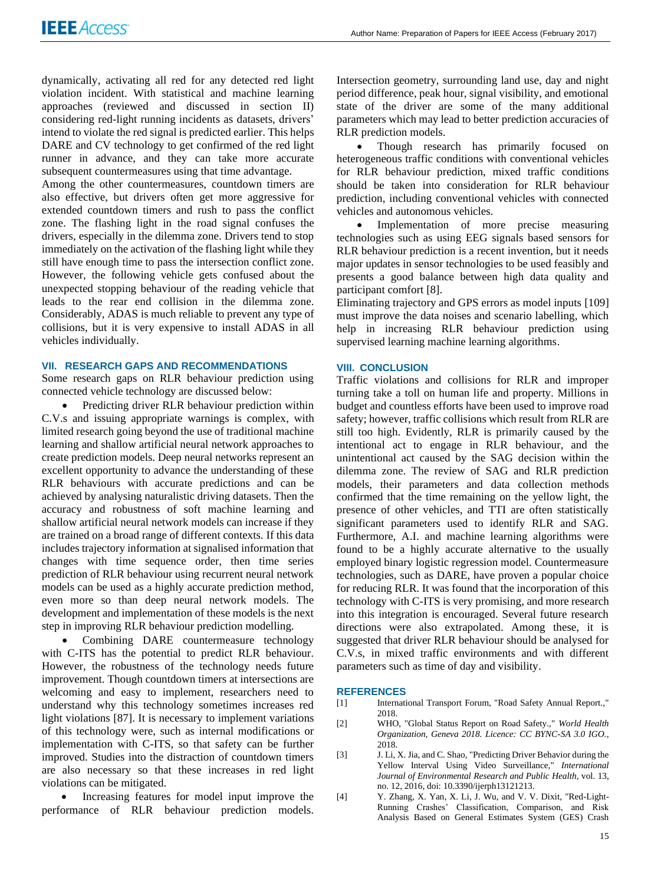dynamically, activating all red for any detected red light violation incident. With statistical and machine learning approaches (reviewed and discussed in section II) considering red-light running incidents as datasets, drivers' intend to violate the red signal is predicted earlier. This helps DARE and CV technology to get confirmed of the red light runner in advance, and they can take more accurate subsequent countermeasures using that time advantage.

Among the other countermeasures, countdown timers are also effective, but drivers often get more aggressive for extended countdown timers and rush to pass the conflict zone. The flashing light in the road signal confuses the drivers, especially in the dilemma zone. Drivers tend to stop immediately on the activation of the flashing light while they still have enough time to pass the intersection conflict zone. However, the following vehicle gets confused about the unexpected stopping behaviour of the reading vehicle that leads to the rear end collision in the dilemma zone. Considerably, ADAS is much reliable to prevent any type of collisions, but it is very expensive to install ADAS in all vehicles individually.

# **VII. RESEARCH GAPS AND RECOMMENDATIONS**

Some research gaps on RLR behaviour prediction using connected vehicle technology are discussed below:

Predicting driver RLR behaviour prediction within C.V.s and issuing appropriate warnings is complex, with limited research going beyond the use of traditional machine learning and shallow artificial neural network approaches to create prediction models. Deep neural networks represent an excellent opportunity to advance the understanding of these RLR behaviours with accurate predictions and can be achieved by analysing naturalistic driving datasets. Then the accuracy and robustness of soft machine learning and shallow artificial neural network models can increase if they are trained on a broad range of different contexts. If this data includes trajectory information at signalised information that changes with time sequence order, then time series prediction of RLR behaviour using recurrent neural network models can be used as a highly accurate prediction method, even more so than deep neural network models. The development and implementation of these models is the next step in improving RLR behaviour prediction modelling.

Combining DARE countermeasure technology with C-ITS has the potential to predict RLR behaviour. However, the robustness of the technology needs future improvement. Though countdown timers at intersections are welcoming and easy to implement, researchers need to understand why this technology sometimes increases red light violations [87]. It is necessary to implement variations of this technology were, such as internal modifications or implementation with C-ITS, so that safety can be further improved. Studies into the distraction of countdown timers are also necessary so that these increases in red light violations can be mitigated.

• Increasing features for model input improve the performance of RLR behaviour prediction models.

Intersection geometry, surrounding land use, day and night period difference, peak hour, signal visibility, and emotional state of the driver are some of the many additional parameters which may lead to better prediction accuracies of RLR prediction models.

Though research has primarily focused on heterogeneous traffic conditions with conventional vehicles for RLR behaviour prediction, mixed traffic conditions should be taken into consideration for RLR behaviour prediction, including conventional vehicles with connected vehicles and autonomous vehicles.

Implementation of more precise measuring technologies such as using EEG signals based sensors for RLR behaviour prediction is a recent invention, but it needs major updates in sensor technologies to be used feasibly and presents a good balance between high data quality and participant comfort [8].

Eliminating trajectory and GPS errors as model inputs [109] must improve the data noises and scenario labelling, which help in increasing RLR behaviour prediction using supervised learning machine learning algorithms.

# **VIII. CONCLUSION**

Traffic violations and collisions for RLR and improper turning take a toll on human life and property. Millions in budget and countless efforts have been used to improve road safety; however, traffic collisions which result from RLR are still too high. Evidently, RLR is primarily caused by the intentional act to engage in RLR behaviour, and the unintentional act caused by the SAG decision within the dilemma zone. The review of SAG and RLR prediction models, their parameters and data collection methods confirmed that the time remaining on the yellow light, the presence of other vehicles, and TTI are often statistically significant parameters used to identify RLR and SAG. Furthermore, A.I. and machine learning algorithms were found to be a highly accurate alternative to the usually employed binary logistic regression model. Countermeasure technologies, such as DARE, have proven a popular choice for reducing RLR. It was found that the incorporation of this technology with C-ITS is very promising, and more research into this integration is encouraged. Several future research directions were also extrapolated. Among these, it is suggested that driver RLR behaviour should be analysed for C.V.s, in mixed traffic environments and with different parameters such as time of day and visibility.

#### **REFERENCES**

- [1] International Transport Forum, "Road Safety Annual Report.," 2018.
- [2] WHO, "Global Status Report on Road Safety.," *World Health Organization, Geneva 2018. Licence: CC BYNC-SA 3.0 IGO.,*  2018.
- [3] J. Li, X. Jia, and C. Shao, "Predicting Driver Behavior during the Yellow Interval Using Video Surveillance," *International Journal of Environmental Research and Public Health,* vol. 13, no. 12, 2016, doi: 10.3390/ijerph13121213.
- [4] Y. Zhang, X. Yan, X. Li, J. Wu, and V. V. Dixit, "Red-Light-Running Crashes' Classification, Comparison, and Risk Analysis Based on General Estimates System (GES) Crash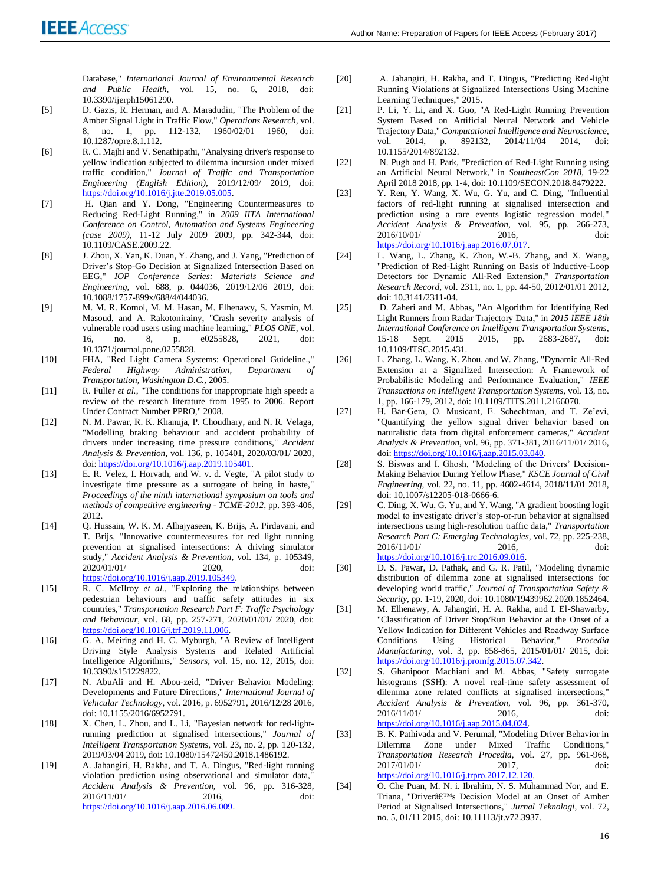Database," *International Journal of Environmental Research and Public Health,* vol. 15, no. 6, 2018, doi: 10.3390/ijerph15061290.

- [5] D. Gazis, R. Herman, and A. Maradudin, "The Problem of the Amber Signal Light in Traffic Flow," *Operations Research,* vol. 8, no. 1, pp. 112-132, 1960/02/01 1960, doi: 10.1287/opre.8.1.112.
- [6] R. C. Majhi and V. Senathipathi, "Analysing driver's response to yellow indication subjected to dilemma incursion under mixed traffic condition," *Journal of Traffic and Transportation Engineering (English Edition),* 2019/12/09/ 2019, doi: [https://doi.org/10.1016/j.jtte.2019.05.005.](https://doi.org/10.1016/j.jtte.2019.05.005)
- [7] H. Qian and Y. Dong, "Engineering Countermeasures to Reducing Red-Light Running," in *2009 IITA International Conference on Control, Automation and Systems Engineering (case 2009)*, 11-12 July 2009 2009, pp. 342-344, doi: 10.1109/CASE.2009.22.
- [8] J. Zhou, X. Yan, K. Duan, Y. Zhang, and J. Yang, "Prediction of Driver's Stop-Go Decision at Signalized Intersection Based on EEG," *IOP Conference Series: Materials Science and Engineering,* vol. 688, p. 044036, 2019/12/06 2019, doi: 10.1088/1757-899x/688/4/044036.
- [9] M. M. R. Komol, M. M. Hasan, M. Elhenawy, S. Yasmin, M. Masoud, and A. Rakotonirainy, "Crash severity analysis of vulnerable road users using machine learning," *PLOS ONE*, vol.<br>16, no. 8, p. e0255828, 2021, doi: 16, no. 8, p. e0255828, 2021, doi: 10.1371/journal.pone.0255828.
- [10] FHA, "Red Light Camera Systems: Operational Guideline.," *Federal Highway Administration, Department of Transportation, Washington D.C.,* 2005.
- [11] R. Fuller *et al.*, "The conditions for inappropriate high speed: a review of the research literature from 1995 to 2006. Report Under Contract Number PPRO," 2008.
- [12] N. M. Pawar, R. K. Khanuja, P. Choudhary, and N. R. Velaga, "Modelling braking behaviour and accident probability of drivers under increasing time pressure conditions," *Accident Analysis & Prevention,* vol. 136, p. 105401, 2020/03/01/ 2020, doi[: https://doi.org/10.1016/j.aap.2019.105401.](https://doi.org/10.1016/j.aap.2019.105401)
- [13] E. R. Velez, I. Horvath, and W. v. d. Vegte, "A pilot study to investigate time pressure as a surrogate of being in haste," *Proceedings of the ninth international symposium on tools and methods of competitive engineering - TCME-2012,* pp. 393-406, 2012.
- [14] Q. Hussain, W. K. M. Alhajyaseen, K. Brijs, A. Pirdavani, and T. Brijs, "Innovative countermeasures for red light running prevention at signalised intersections: A driving simulator study," *Accident Analysis & Prevention,* vol. 134, p. 105349, 2020/01/01/ 2020, doi: [https://doi.org/10.1016/j.aap.2019.105349.](https://doi.org/10.1016/j.aap.2019.105349)
- [15] R. C. McIlroy *et al.*, "Exploring the relationships between pedestrian behaviours and traffic safety attitudes in six countries," *Transportation Research Part F: Traffic Psychology and Behaviour,* vol. 68, pp. 257-271, 2020/01/01/ 2020, doi: [https://doi.org/10.1016/j.trf.2019.11.006.](https://doi.org/10.1016/j.trf.2019.11.006)
- [16] G. A. Meiring and H. C. Myburgh, "A Review of Intelligent Driving Style Analysis Systems and Related Artificial Intelligence Algorithms," *Sensors,* vol. 15, no. 12, 2015, doi: 10.3390/s151229822.
- [17] N. AbuAli and H. Abou-zeid, "Driver Behavior Modeling: Developments and Future Directions," *International Journal of Vehicular Technology,* vol. 2016, p. 6952791, 2016/12/28 2016, doi: 10.1155/2016/6952791.
- [18] X. Chen, L. Zhou, and L. Li, "Bayesian network for red-lightrunning prediction at signalised intersections," *Journal of Intelligent Transportation Systems,* vol. 23, no. 2, pp. 120-132, 2019/03/04 2019, doi: 10.1080/15472450.2018.1486192.
- [19] A. Jahangiri, H. Rakha, and T. A. Dingus, "Red-light running violation prediction using observational and simulator data," *Accident Analysis & Prevention,* vol. 96, pp. 316-328, 2016/11/01/ 2016, doi: [https://doi.org/10.1016/j.aap.2016.06.009.](https://doi.org/10.1016/j.aap.2016.06.009)
- [20] A. Jahangiri, H. Rakha, and T. Dingus, "Predicting Red-light Running Violations at Signalized Intersections Using Machine Learning Techniques," 2015.
- [21] P. Li, Y. Li, and X. Guo, "A Red-Light Running Prevention System Based on Artificial Neural Network and Vehicle Trajectory Data," *Computational Intelligence and Neuroscience,*  vol. 2014, p. 892132, 2014/11/04 2014, doi: 10.1155/2014/892132.
- [22] N. Pugh and H. Park, "Prediction of Red-Light Running using an Artificial Neural Network," in *SoutheastCon 2018*, 19-22 April 2018 2018, pp. 1-4, doi: 10.1109/SECON.2018.8479222.
- [23] Y. Ren, Y. Wang, X. Wu, G. Yu, and C. Ding, "Influential factors of red-light running at signalised intersection and prediction using a rare events logistic regression model," *Accident Analysis & Prevention,* vol. 95, pp. 266-273, 2016/10/01/ 2016, doi: [https://doi.org/10.1016/j.aap.2016.07.017.](https://doi.org/10.1016/j.aap.2016.07.017)
- [24] L. Wang, L. Zhang, K. Zhou, W.-B. Zhang, and X. Wang, "Prediction of Red-Light Running on Basis of Inductive-Loop Detectors for Dynamic All-Red Extension," *Transportation Research Record,* vol. 2311, no. 1, pp. 44-50, 2012/01/01 2012, doi: 10.3141/2311-04.
- [25] D. Zaheri and M. Abbas, "An Algorithm for Identifying Red Light Runners from Radar Trajectory Data," in *2015 IEEE 18th International Conference on Intelligent Transportation Systems*, pp. 2683-2687, doi: 10.1109/ITSC.2015.431.
- [26] L. Zhang, L. Wang, K. Zhou, and W. Zhang, "Dynamic All-Red Extension at a Signalized Intersection: A Framework of Probabilistic Modeling and Performance Evaluation," *IEEE Transactions on Intelligent Transportation Systems,* vol. 13, no. 1, pp. 166-179, 2012, doi: 10.1109/TITS.2011.2166070.
- [27] H. Bar-Gera, O. Musicant, E. Schechtman, and T. Ze'evi, "Quantifying the yellow signal driver behavior based on naturalistic data from digital enforcement cameras," *Accident Analysis & Prevention,* vol. 96, pp. 371-381, 2016/11/01/ 2016, doi[: https://doi.org/10.1016/j.aap.2015.03.040.](https://doi.org/10.1016/j.aap.2015.03.040)
- [28] S. Biswas and I. Ghosh, "Modeling of the Drivers' Decision-Making Behavior During Yellow Phase," *KSCE Journal of Civil Engineering,* vol. 22, no. 11, pp. 4602-4614, 2018/11/01 2018, doi: 10.1007/s12205-018-0666-6.
- [29] C. Ding, X. Wu, G. Yu, and Y. Wang, "A gradient boosting logit model to investigate driver's stop-or-run behavior at signalised intersections using high-resolution traffic data," *Transportation Research Part C: Emerging Technologies,* vol. 72, pp. 225-238, 2016/11/01/ 2016, doi: [https://doi.org/10.1016/j.trc.2016.09.016.](https://doi.org/10.1016/j.trc.2016.09.016)
- [30] D. S. Pawar, D. Pathak, and G. R. Patil, "Modeling dynamic distribution of dilemma zone at signalised intersections for developing world traffic," *Journal of Transportation Safety & Security,* pp. 1-19, 2020, doi: 10.1080/19439962.2020.1852464.
- [31] M. Elhenawy, A. Jahangiri, H. A. Rakha, and I. El-Shawarby, "Classification of Driver Stop/Run Behavior at the Onset of a Yellow Indication for Different Vehicles and Roadway Surface Conditions Using Historical Behavior," *Procedia Manufacturing,* vol. 3, pp. 858-865, 2015/01/01/ 2015, doi: [https://doi.org/10.1016/j.promfg.2015.07.342.](https://doi.org/10.1016/j.promfg.2015.07.342)
- [32] S. Ghanipoor Machiani and M. Abbas, "Safety surrogate histograms (SSH): A novel real-time safety assessment of dilemma zone related conflicts at signalised intersections," *Accident Analysis & Prevention,* vol. 96, pp. 361-370, 2016/11/01/ 2016, doi: [https://doi.org/10.1016/j.aap.2015.04.024.](https://doi.org/10.1016/j.aap.2015.04.024)
- [33] B. K. Pathivada and V. Perumal, "Modeling Driver Behavior in Dilemma Zone under Mixed Traffic Conditions," *Transportation Research Procedia,* vol. 27, pp. 961-968, 2017/01/01/ 2017 doi: [https://doi.org/10.1016/j.trpro.2017.12.120.](https://doi.org/10.1016/j.trpro.2017.12.120)
- [34] O. Che Puan, M. N. i. Ibrahim, N. S. Muhammad Nor, and E. Triana, "Driver's Decision Model at an Onset of Amber Period at Signalised Intersections," *Jurnal Teknologi,* vol. 72, no. 5, 01/11 2015, doi: 10.11113/jt.v72.3937.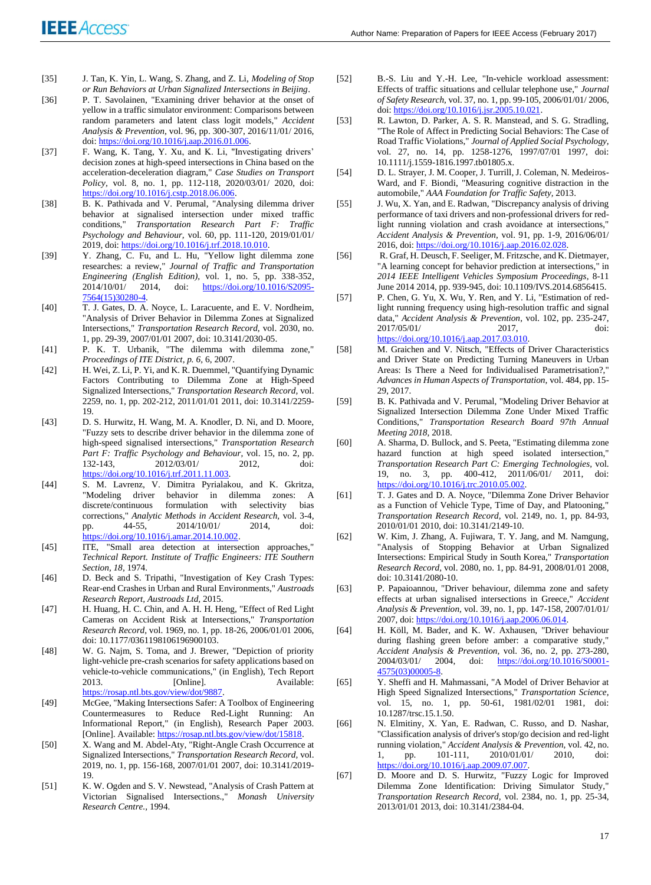- [35] J. Tan, K. Yin, L. Wang, S. Zhang, and Z. Li, *Modeling of Stop or Run Behaviors at Urban Signalized Intersections in Beijing*.
- [36] P. T. Savolainen, "Examining driver behavior at the onset of yellow in a traffic simulator environment: Comparisons between random parameters and latent class logit models," *Accident Analysis & Prevention,* vol. 96, pp. 300-307, 2016/11/01/ 2016, doi[: https://doi.org/10.1016/j.aap.2016.01.006.](https://doi.org/10.1016/j.aap.2016.01.006)
- [37] F. Wang, K. Tang, Y. Xu, and K. Li, "Investigating drivers' decision zones at high-speed intersections in China based on the acceleration-deceleration diagram," *Case Studies on Transport Policy,* vol. 8, no. 1, pp. 112-118, 2020/03/01/ 2020, doi: [https://doi.org/10.1016/j.cstp.2018.06.006.](https://doi.org/10.1016/j.cstp.2018.06.006)
- [38] B. K. Pathivada and V. Perumal, "Analysing dilemma driver behavior at signalised intersection under mixed traffic conditions," *Transportation Research Part F: Traffic Psychology and Behaviour,* vol. 60, pp. 111-120, 2019/01/01/ 2019, doi[: https://doi.org/10.1016/j.trf.2018.10.010.](https://doi.org/10.1016/j.trf.2018.10.010)
- [39] Y. Zhang, C. Fu, and L. Hu, "Yellow light dilemma zone researches: a review," *Journal of Traffic and Transportation Engineering (English Edition),* vol. 1, no. 5, pp. 338-352, 2014/10/01/ 2014, doi: [https://doi.org/10.1016/S2095-](https://doi.org/10.1016/S2095-7564(15)30280-4) [7564\(15\)30280-4.](https://doi.org/10.1016/S2095-7564(15)30280-4)
- [40] T. J. Gates, D. A. Noyce, L. Laracuente, and E. V. Nordheim, "Analysis of Driver Behavior in Dilemma Zones at Signalized Intersections," *Transportation Research Record,* vol. 2030, no. 1, pp. 29-39, 2007/01/01 2007, doi: 10.3141/2030-05.
- [41] P. K. T. Urbanik, "The dilemma with dilemma zone," *Proceedings of ITE District, p. 6,* 6, 2007.
- [42] H. Wei, Z. Li, P. Yi, and K. R. Duemmel, "Quantifying Dynamic Factors Contributing to Dilemma Zone at High-Speed Signalized Intersections," *Transportation Research Record,* vol. 2259, no. 1, pp. 202-212, 2011/01/01 2011, doi: 10.3141/2259- 19.
- [43] D. S. Hurwitz, H. Wang, M. A. Knodler, D. Ni, and D. Moore, "Fuzzy sets to describe driver behavior in the dilemma zone of high-speed signalised intersections," *Transportation Research Part F: Traffic Psychology and Behaviour,* vol. 15, no. 2, pp. 132-143, 2012/03/01/ 2012, doi: [https://doi.org/10.1016/j.trf.2011.11.003.](https://doi.org/10.1016/j.trf.2011.11.003)
- [44] S. M. Lavrenz, V. Dimitra Pyrialakou, and K. Gkritza, "Modeling driver behavior in dilemma zones: A discrete/continuous formulation with selectivity bias corrections," *Analytic Methods in Accident Research,* vol. 3-4, pp. 44-55, 2014/10/01/ [https://doi.org/10.1016/j.amar.2014.10.002.](https://doi.org/10.1016/j.amar.2014.10.002)
- [45] **ITE, "Small area detection at intersection approaches,"** *Technical Report. Institute of Traffic Engineers: ITE Southern Section, 18,* 1974.
- [46] D. Beck and S. Tripathi, "Investigation of Key Crash Types: Rear-end Crashes in Urban and Rural Environments," *Austroads Research Report, Austroads Ltd,* 2015.
- [47] H. Huang, H. C. Chin, and A. H. H. Heng, "Effect of Red Light Cameras on Accident Risk at Intersections," *Transportation Research Record,* vol. 1969, no. 1, pp. 18-26, 2006/01/01 2006, doi: 10.1177/0361198106196900103.
- [48] W. G. Najm, S. Toma, and J. Brewer, "Depiction of priority light-vehicle pre-crash scenarios for safety applications based on vehicle-to-vehicle communications," (in English), Tech Report [Online]. [https://rosap.ntl.bts.gov/view/dot/9887.](https://rosap.ntl.bts.gov/view/dot/9887)
- [49] McGee, "Making Intersections Safer: A Toolbox of Engineering Countermeasures to Reduce Red-Light Running: An Informational Report," (in English), Research Paper 2003. [Online]. Available[: https://rosap.ntl.bts.gov/view/dot/15818.](https://rosap.ntl.bts.gov/view/dot/15818)
- [50] X. Wang and M. Abdel-Aty, "Right-Angle Crash Occurrence at Signalized Intersections," *Transportation Research Record,* vol. 2019, no. 1, pp. 156-168, 2007/01/01 2007, doi: 10.3141/2019- 19.
- [51] K. W. Ogden and S. V. Newstead, "Analysis of Crash Pattern at Victorian Signalised Intersections.," *Monash University Research Centre.,* 1994.
- [52] B.-S. Liu and Y.-H. Lee, "In-vehicle workload assessment: Effects of traffic situations and cellular telephone use," *Journal of Safety Research,* vol. 37, no. 1, pp. 99-105, 2006/01/01/ 2006, doi[: https://doi.org/10.1016/j.jsr.2005.10.021.](https://doi.org/10.1016/j.jsr.2005.10.021)
- [53] R. Lawton, D. Parker, A. S. R. Manstead, and S. G. Stradling, "The Role of Affect in Predicting Social Behaviors: The Case of Road Traffic Violations," *Journal of Applied Social Psychology,*  vol. 27, no. 14, pp. 1258-1276, 1997/07/01 1997, doi: 10.1111/j.1559-1816.1997.tb01805.x.
- [54] D. L. Strayer, J. M. Cooper, J. Turrill, J. Coleman, N. Medeiros-Ward, and F. Biondi, "Measuring cognitive distraction in the automobile," *AAA Foundation for Traffic Safety,* 2013.
- [55] J. Wu, X. Yan, and E. Radwan, "Discrepancy analysis of driving performance of taxi drivers and non-professional drivers for redlight running violation and crash avoidance at intersections," *Accident Analysis & Prevention,* vol. 91, pp. 1-9, 2016/06/01/ 2016, doi[: https://doi.org/10.1016/j.aap.2016.02.028.](https://doi.org/10.1016/j.aap.2016.02.028)
- [56] R. Graf, H. Deusch, F. Seeliger, M. Fritzsche, and K. Dietmayer, "A learning concept for behavior prediction at intersections," in *2014 IEEE Intelligent Vehicles Symposium Proceedings*, 8-11 June 2014 2014, pp. 939-945, doi: 10.1109/IVS.2014.6856415.
- [57] P. Chen, G. Yu, X. Wu, Y. Ren, and Y. Li, "Estimation of redlight running frequency using high-resolution traffic and signal data," *Accident Analysis & Prevention,* vol. 102, pp. 235-247, 2017/05/01/ 2017, doi: [https://doi.org/10.1016/j.aap.2017.03.010.](https://doi.org/10.1016/j.aap.2017.03.010)
- [58] M. Graichen and V. Nitsch, "Effects of Driver Characteristics and Driver State on Predicting Turning Maneuvers in Urban Areas: Is There a Need for Individualised Parametrisation?," *Advances in Human Aspects of Transportation,* vol. 484, pp. 15- 29, 2017.
- [59] B. K. Pathivada and V. Perumal, "Modeling Driver Behavior at Signalized Intersection Dilemma Zone Under Mixed Traffic Conditions," *Transportation Research Board 97th Annual Meeting 2018,* 2018.
- [60] A. Sharma, D. Bullock, and S. Peeta, "Estimating dilemma zone hazard function at high speed isolated intersection," *Transportation Research Part C: Emerging Technologies,* vol. 19, no. 3, pp. 400-412, 2011/06/01/ 2011, doi: [https://doi.org/10.1016/j.trc.2010.05.002.](https://doi.org/10.1016/j.trc.2010.05.002)
- [61] T. J. Gates and D. A. Noyce, "Dilemma Zone Driver Behavior as a Function of Vehicle Type, Time of Day, and Platooning," *Transportation Research Record,* vol. 2149, no. 1, pp. 84-93, 2010/01/01 2010, doi: 10.3141/2149-10.
- [62] W. Kim, J. Zhang, A. Fujiwara, T. Y. Jang, and M. Namgung, "Analysis of Stopping Behavior at Urban Signalized Intersections: Empirical Study in South Korea," *Transportation Research Record,* vol. 2080, no. 1, pp. 84-91, 2008/01/01 2008, doi: 10.3141/2080-10.
- [63] P. Papaioannou, "Driver behaviour, dilemma zone and safety effects at urban signalised intersections in Greece," *Accident Analysis & Prevention,* vol. 39, no. 1, pp. 147-158, 2007/01/01/ 2007, doi[: https://doi.org/10.1016/j.aap.2006.06.014.](https://doi.org/10.1016/j.aap.2006.06.014)
- [64] H. Köll, M. Bader, and K. W. Axhausen, "Driver behaviour during flashing green before amber: a comparative study," *Accident Analysis & Prevention,* vol. 36, no. 2, pp. 273-280, 2004/03/01/ 2004, doi: [https://doi.org/10.1016/S0001-](https://doi.org/10.1016/S0001-4575(03)00005-8) [4575\(03\)00005-8.](https://doi.org/10.1016/S0001-4575(03)00005-8)
- [65] Y. Sheffi and H. Mahmassani, "A Model of Driver Behavior at High Speed Signalized Intersections," *Transportation Science,*  vol. 15, no. 1, pp. 50-61, 1981/02/01 1981, doi: 10.1287/trsc.15.1.50.
- [66] N. Elmitiny, X. Yan, E. Radwan, C. Russo, and D. Nashar, "Classification analysis of driver's stop/go decision and red-light running violation," *Accident Analysis & Prevention,* vol. 42, no. 1, pp. 101-111, 2010/01/01/ 2010, doi: [https://doi.org/10.1016/j.aap.2009.07.007.](https://doi.org/10.1016/j.aap.2009.07.007)
- [67] D. Moore and D. S. Hurwitz, "Fuzzy Logic for Improved Dilemma Zone Identification: Driving Simulator Study," *Transportation Research Record,* vol. 2384, no. 1, pp. 25-34, 2013/01/01 2013, doi: 10.3141/2384-04.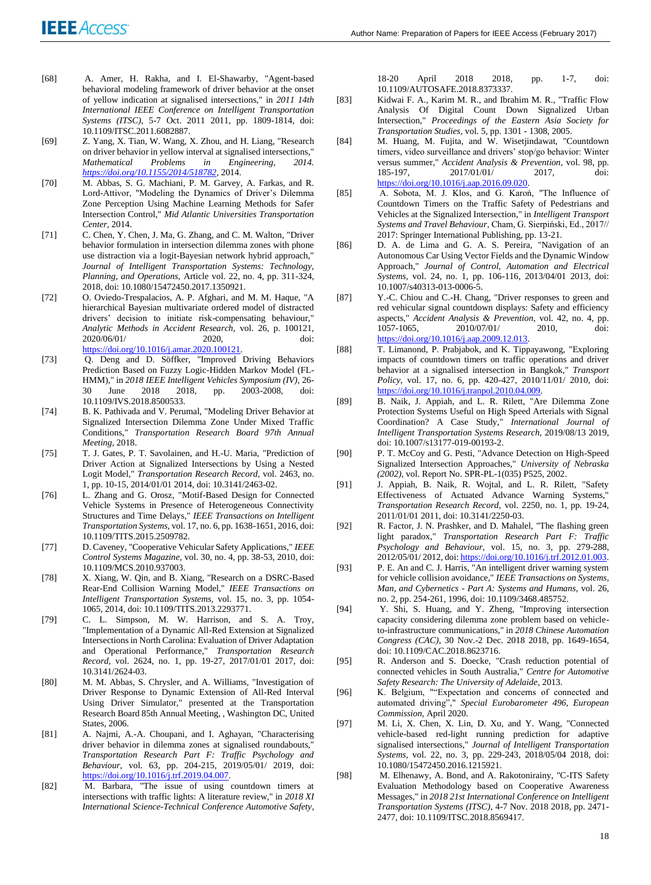- [68] A. Amer, H. Rakha, and I. El-Shawarby, "Agent-based behavioral modeling framework of driver behavior at the onset of yellow indication at signalised intersections," in *2011 14th International IEEE Conference on Intelligent Transportation Systems (ITSC)*, 5-7 Oct. 2011 2011, pp. 1809-1814, doi: 10.1109/ITSC.2011.6082887.
- [69] Z. Yang, X. Tian, W. Wang, X. Zhou, and H. Liang, "Research on driver behavior in yellow interval at signalised intersections," *Mathematical Problems in Engineering, 2014. [https://doi.org/10.1155/2014/518782,](https://doi.org/10.1155/2014/518782)* 2014.
- [70] M. Abbas, S. G. Machiani, P. M. Garvey, A. Farkas, and R. Lord-Attivor, "Modeling the Dynamics of Driver's Dilemma Zone Perception Using Machine Learning Methods for Safer Intersection Control," *Mid Atlantic Universities Transportation Center,* 2014.
- [71] C. Chen, Y. Chen, J. Ma, G. Zhang, and C. M. Walton, "Driver behavior formulation in intersection dilemma zones with phone use distraction via a logit-Bayesian network hybrid approach," *Journal of Intelligent Transportation Systems: Technology, Planning, and Operations,* Article vol. 22, no. 4, pp. 311-324, 2018, doi: 10.1080/15472450.2017.1350921.
- [72] O. Oviedo-Trespalacios, A. P. Afghari, and M. M. Haque, "A hierarchical Bayesian multivariate ordered model of distracted drivers' decision to initiate risk-compensating behaviour," *Analytic Methods in Accident Research,* vol. 26, p. 100121, 2020/06/01/ 2020, doi: [https://doi.org/10.1016/j.amar.2020.100121.](https://doi.org/10.1016/j.amar.2020.100121)
- [73] Q. Deng and D. Söffker, "Improved Driving Behaviors Prediction Based on Fuzzy Logic-Hidden Markov Model (FL-HMM)," in *2018 IEEE Intelligent Vehicles Symposium (IV)*, 26- 30 June 2018 2018, pp. 2003-2008, doi: 10.1109/IVS.2018.8500533.
- [74] B. K. Pathivada and V. Perumal, "Modeling Driver Behavior at Signalized Intersection Dilemma Zone Under Mixed Traffic Conditions," *Transportation Research Board 97th Annual Meeting,* 2018.
- [75] T. J. Gates, P. T. Savolainen, and H.-U. Maria, "Prediction of Driver Action at Signalized Intersections by Using a Nested Logit Model," *Transportation Research Record,* vol. 2463, no. 1, pp. 10-15, 2014/01/01 2014, doi: 10.3141/2463-02.
- [76] L. Zhang and G. Orosz, "Motif-Based Design for Connected Vehicle Systems in Presence of Heterogeneous Connectivity Structures and Time Delays," *IEEE Transactions on Intelligent Transportation Systems,* vol. 17, no. 6, pp. 1638-1651, 2016, doi: 10.1109/TITS.2015.2509782.
- [77] D. Caveney, "Cooperative Vehicular Safety Applications," *IEEE Control Systems Magazine,* vol. 30, no. 4, pp. 38-53, 2010, doi: 10.1109/MCS.2010.937003.
- [78] X. Xiang, W. Qin, and B. Xiang, "Research on a DSRC-Based Rear-End Collision Warning Model," *IEEE Transactions on Intelligent Transportation Systems,* vol. 15, no. 3, pp. 1054- 1065, 2014, doi: 10.1109/TITS.2013.2293771.
- [79] C. L. Simpson, M. W. Harrison, and S. A. Troy, "Implementation of a Dynamic All-Red Extension at Signalized Intersections in North Carolina: Evaluation of Driver Adaptation and Operational Performance," *Transportation Research Record,* vol. 2624, no. 1, pp. 19-27, 2017/01/01 2017, doi: 10.3141/2624-03.
- [80] M. M. Abbas, S. Chrysler, and A. Williams, "Investigation of Driver Response to Dynamic Extension of All-Red Interval Using Driver Simulator," presented at the Transportation Research Board 85th Annual Meeting, , Washington DC, United States, 2006.
- [81] A. Najmi, A.-A. Choupani, and I. Aghayan, "Characterising driver behavior in dilemma zones at signalised roundabouts," *Transportation Research Part F: Traffic Psychology and Behaviour,* vol. 63, pp. 204-215, 2019/05/01/ 2019, doi: [https://doi.org/10.1016/j.trf.2019.04.007.](https://doi.org/10.1016/j.trf.2019.04.007)
- [82] M. Barbara, "The issue of using countdown timers at intersections with traffic lights: A literature review," in *2018 XI International Science-Technical Conference Automotive Safety*,

18-20 April 2018 2018, pp. 1-7, doi: 10.1109/AUTOSAFE.2018.8373337.

- [83] Kidwai F. A., Karim M. R., and Ibrahim M. R., "Traffic Flow Analysis Of Digital Count Down Signalized Urban Intersection," *Proceedings of the Eastern Asia Society for Transportation Studies,* vol. 5, pp. 1301 - 1308, 2005.
- [84] M. Huang, M. Fujita, and W. Wisetjindawat, "Countdown timers, video surveillance and drivers' stop/go behavior: Winter versus summer," *Accident Analysis & Prevention,* vol. 98, pp. 2017/01/01/ 2017, doi: [https://doi.org/10.1016/j.aap.2016.09.020.](https://doi.org/10.1016/j.aap.2016.09.020)
- [85] A. Sobota, M. J. Klos, and G. Karoń, "The Influence of Countdown Timers on the Traffic Safety of Pedestrians and Vehicles at the Signalized Intersection," in *Intelligent Transport Systems and Travel Behaviour*, Cham, G. Sierpiński, Ed., 2017// 2017: Springer International Publishing, pp. 13-21.
- [86] D. A. de Lima and G. A. S. Pereira, "Navigation of an Autonomous Car Using Vector Fields and the Dynamic Window Approach," *Journal of Control, Automation and Electrical Systems,* vol. 24, no. 1, pp. 106-116, 2013/04/01 2013, doi: 10.1007/s40313-013-0006-5.
- [87] Y.-C. Chiou and C.-H. Chang, "Driver responses to green and red vehicular signal countdown displays: Safety and efficiency aspects," *Accident Analysis & Prevention,* vol. 42, no. 4, pp. 2010/07/01/ 2010, doi: [https://doi.org/10.1016/j.aap.2009.12.013.](https://doi.org/10.1016/j.aap.2009.12.013)
- [88] T. Limanond, P. Prabjabok, and K. Tippayawong, "Exploring impacts of countdown timers on traffic operations and driver behavior at a signalised intersection in Bangkok," *Transport Policy,* vol. 17, no. 6, pp. 420-427, 2010/11/01/ 2010, doi: [https://doi.org/10.1016/j.tranpol.2010.04.009.](https://doi.org/10.1016/j.tranpol.2010.04.009)
- [89] B. Naik, J. Appiah, and L. R. Rilett, "Are Dilemma Zone Protection Systems Useful on High Speed Arterials with Signal Coordination? A Case Study," *International Journal of Intelligent Transportation Systems Research,* 2019/08/13 2019, doi: 10.1007/s13177-019-00193-2.
- [90] P. T. McCoy and G. Pesti, "Advance Detection on High-Speed Signalized Intersection Approaches," *University of Nebraska (2002),* vol. Report No. SPR-PL-1(035) P525, 2002.
- [91] J. Appiah, B. Naik, R. Wojtal, and L. R. Rilett, "Safety Effectiveness of Actuated Advance Warning Systems, *Transportation Research Record,* vol. 2250, no. 1, pp. 19-24, 2011/01/01 2011, doi: 10.3141/2250-03.
- [92] R. Factor, J. N. Prashker, and D. Mahalel, "The flashing green light paradox," *Transportation Research Part F: Traffic Psychology and Behaviour,* vol. 15, no. 3, pp. 279-288, 2012/05/01/ 2012, doi[: https://doi.org/10.1016/j.trf.2012.01.003.](https://doi.org/10.1016/j.trf.2012.01.003)
- [93] P. E. An and C. J. Harris, "An intelligent driver warning system for vehicle collision avoidance," *IEEE Transactions on Systems, Man, and Cybernetics - Part A: Systems and Humans,* vol. 26, no. 2, pp. 254-261, 1996, doi: 10.1109/3468.485752.
- [94] Y. Shi, S. Huang, and Y. Zheng, "Improving intersection capacity considering dilemma zone problem based on vehicleto-infrastructure communications," in *2018 Chinese Automation Congress (CAC)*, 30 Nov.-2 Dec. 2018 2018, pp. 1649-1654, doi: 10.1109/CAC.2018.8623716.
- [95] R. Anderson and S. Doecke, "Crash reduction potential of connected vehicles in South Australia," *Centre for Automotive Safety Research: The University of Adelaide,* 2013.
- [96] K. Belgium, ""Expectation and concerns of connected and automated driving"," *Special Eurobarometer 496, European Commission,* April 2020.
- [97] M. Li, X. Chen, X. Lin, D. Xu, and Y. Wang, "Connected vehicle-based red-light running prediction for adaptive signalised intersections," *Journal of Intelligent Transportation Systems,* vol. 22, no. 3, pp. 229-243, 2018/05/04 2018, doi: 10.1080/15472450.2016.1215921.
- [98] M. Elhenawy, A. Bond, and A. Rakotonirainy, "C-ITS Safety Evaluation Methodology based on Cooperative Awareness Messages," in *2018 21st International Conference on Intelligent Transportation Systems (ITSC)*, 4-7 Nov. 2018 2018, pp. 2471- 2477, doi: 10.1109/ITSC.2018.8569417.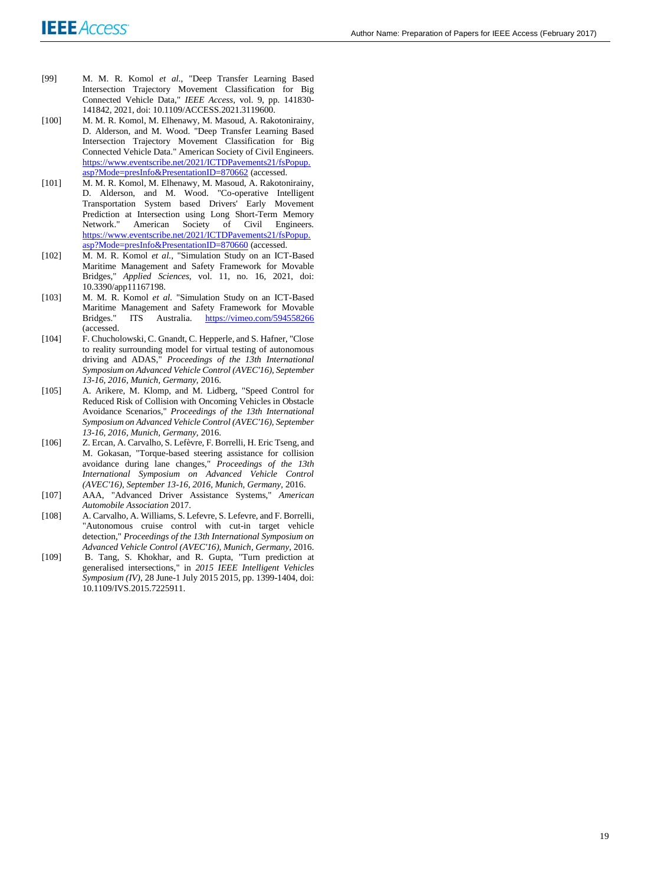- [99] M. M. R. Komol *et al.*, "Deep Transfer Learning Based Intersection Trajectory Movement Classification for Big Connected Vehicle Data," *IEEE Access,* vol. 9, pp. 141830- 141842, 2021, doi: 10.1109/ACCESS.2021.3119600.
- [100] M. M. R. Komol, M. Elhenawy, M. Masoud, A. Rakotonirainy, D. Alderson, and M. Wood. "Deep Transfer Learning Based Intersection Trajectory Movement Classification for Big Connected Vehicle Data." American Society of Civil Engineers. [https://www.eventscribe.net/2021/ICTDPavements21/fsPopup.](https://www.eventscribe.net/2021/ICTDPavements21/fsPopup.asp?Mode=presInfo&PresentationID=870662) [asp?Mode=presInfo&PresentationID=870662](https://www.eventscribe.net/2021/ICTDPavements21/fsPopup.asp?Mode=presInfo&PresentationID=870662) (accessed.
- [101] M. M. R. Komol, M. Elhenawy, M. Masoud, A. Rakotonirainy, D. Alderson, and M. Wood. "Co-operative Intelligent Transportation System based Drivers' Early Movement Prediction at Intersection using Long Short-Term Memory Network." American Society of Civil Engineers. [https://www.eventscribe.net/2021/ICTDPavements21/fsPopup.](https://www.eventscribe.net/2021/ICTDPavements21/fsPopup.asp?Mode=presInfo&PresentationID=870660) [asp?Mode=presInfo&PresentationID=870660](https://www.eventscribe.net/2021/ICTDPavements21/fsPopup.asp?Mode=presInfo&PresentationID=870660) (accessed.
- [102] M. M. R. Komol *et al.*, "Simulation Study on an ICT-Based Maritime Management and Safety Framework for Movable Bridges," *Applied Sciences,* vol. 11, no. 16, 2021, doi: 10.3390/app11167198.
- [103] M. M. R. Komol *et al.* "Simulation Study on an ICT-Based Maritime Management and Safety Framework for Movable Bridges." ITS Australia. <https://vimeo.com/594558266> (accessed.
- [104] F. Chucholowski, C. Gnandt, C. Hepperle, and S. Hafner, "Close to reality surrounding model for virtual testing of autonomous driving and ADAS," *Proceedings of the 13th International Symposium on Advanced Vehicle Control (AVEC'16), September 13-16, 2016, Munich, Germany,* 2016.
- [105] A. Arikere, M. Klomp, and M. Lidberg, "Speed Control for Reduced Risk of Collision with Oncoming Vehicles in Obstacle Avoidance Scenarios," *Proceedings of the 13th International Symposium on Advanced Vehicle Control (AVEC'16), September 13-16, 2016, Munich, Germany,* 2016.
- [106] Z. Ercan, A. Carvalho, S. Lefèvre, F. Borrelli, H. Eric Tseng, and M. Gokasan, "Torque-based steering assistance for collision avoidance during lane changes," *Proceedings of the 13th International Symposium on Advanced Vehicle Control (AVEC'16), September 13-16, 2016, Munich, Germany,* 2016.
- [107] AAA, "Advanced Driver Assistance Systems," *American Automobile Association* 2017.
- [108] A. Carvalho, A. Williams, S. Lefevre, S. Lefevre, and F. Borrelli, "Autonomous cruise control with cut-in target vehicle detection," *Proceedings of the 13th International Symposium on Advanced Vehicle Control (AVEC'16), Munich, Germany,* 2016.
- [109] B. Tang, S. Khokhar, and R. Gupta, "Turn prediction at generalised intersections," in *2015 IEEE Intelligent Vehicles Symposium (IV)*, 28 June-1 July 2015 2015, pp. 1399-1404, doi: 10.1109/IVS.2015.7225911.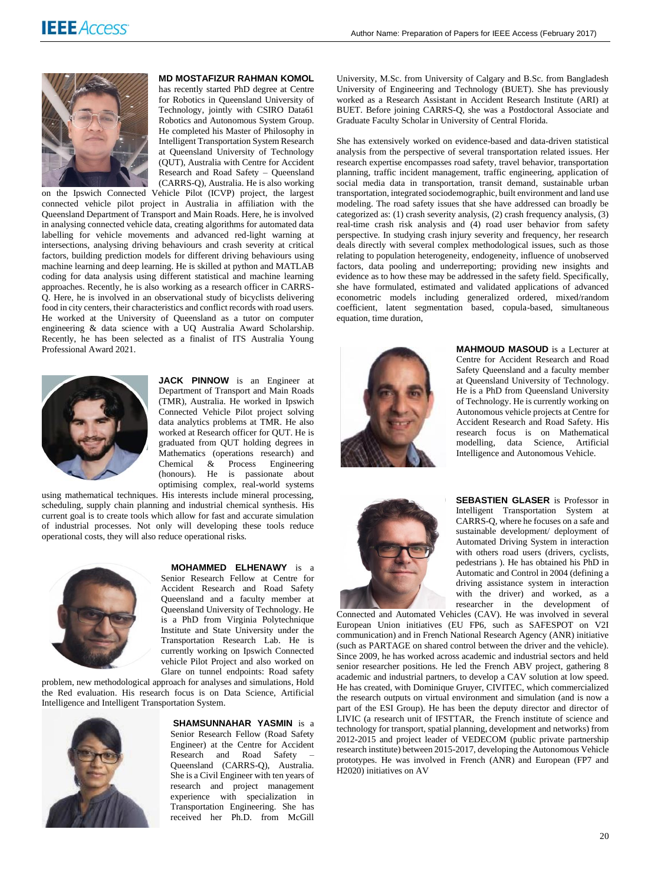

### **MD MOSTAFIZUR RAHMAN KOMOL**

has recently started PhD degree at Centre for Robotics in Queensland University of Technology, jointly with CSIRO Data61 Robotics and Autonomous System Group. He completed his Master of Philosophy in Intelligent Transportation System Research at Queensland University of Technology (QUT), Australia with Centre for Accident Research and Road Safety - Queensland (CARRS-Q), Australia. He is also working

on the Ipswich Connected Vehicle Pilot (ICVP) project, the largest connected vehicle pilot project in Australia in affiliation with the Queensland Department of Transport and Main Roads. Here, he is involved in analysing connected vehicle data, creating algorithms for automated data labelling for vehicle movements and advanced red-light warning at intersections, analysing driving behaviours and crash severity at critical factors, building prediction models for different driving behaviours using machine learning and deep learning. He is skilled at python and MATLAB coding for data analysis using different statistical and machine learning approaches. Recently, he is also working as a research officer in CARRS-Q. Here, he is involved in an observational study of bicyclists delivering food in city centers, their characteristics and conflict records with road users. He worked at the University of Queensland as a tutor on computer engineering & data science with a UQ Australia Award Scholarship. Recently, he has been selected as a finalist of ITS Australia Young Professional Award 2021.



**JACK PINNOW** is an Engineer at Department of Transport and Main Roads (TMR), Australia. He worked in Ipswich Connected Vehicle Pilot project solving data analytics problems at TMR. He also worked at Research officer for QUT. He is graduated from QUT holding degrees in Mathematics (operations research) and Chemical & Process Engineering (honours). He is passionate about optimising complex, real-world systems

using mathematical techniques. His interests include mineral processing, scheduling, supply chain planning and industrial chemical synthesis. His current goal is to create tools which allow for fast and accurate simulation of industrial processes. Not only will developing these tools reduce operational costs, they will also reduce operational risks.



**MOHAMMED ELHENAWY** is a

Senior Research Fellow at Centre for Accident Research and Road Safety Queensland and a faculty member at Queensland University of Technology. He is a PhD from Virginia Polytechnique Institute and State University under the Transportation Research Lab. He is currently working on Ipswich Connected vehicle Pilot Project and also worked on Glare on tunnel endpoints: Road safety

problem, new methodological approach for analyses and simulations, Hold the Red evaluation. His research focus is on Data Science, Artificial Intelligence and Intelligent Transportation System.



**SHAMSUNNAHAR YASMIN** is a Senior Research Fellow (Road Safety Engineer) at the Centre for Accident Research and Road Safety Queensland (CARRS-Q), Australia. She is a Civil Engineer with ten years of research and project management experience with specialization in Transportation Engineering. She has received her Ph.D. from McGill

University, M.Sc. from University of Calgary and B.Sc. from Bangladesh University of Engineering and Technology (BUET). She has previously worked as a Research Assistant in Accident Research Institute (ARI) at BUET. Before joining CARRS-Q, she was a Postdoctoral Associate and Graduate Faculty Scholar in University of Central Florida.

She has extensively worked on evidence-based and data-driven statistical analysis from the perspective of several transportation related issues. Her research expertise encompasses road safety, travel behavior, transportation planning, traffic incident management, traffic engineering, application of social media data in transportation, transit demand, sustainable urban transportation, integrated sociodemographic, built environment and land use modeling. The road safety issues that she have addressed can broadly be categorized as: (1) crash severity analysis, (2) crash frequency analysis, (3) real-time crash risk analysis and (4) road user behavior from safety perspective. In studying crash injury severity and frequency, her research deals directly with several complex methodological issues, such as those relating to population heterogeneity, endogeneity, influence of unobserved factors, data pooling and underreporting; providing new insights and evidence as to how these may be addressed in the safety field. Specifically, she have formulated, estimated and validated applications of advanced econometric models including generalized ordered, mixed/random coefficient, latent segmentation based, copula-based, simultaneous equation, time duration,



**MAHMOUD MASOUD** is a Lecturer at Centre for Accident Research and Road Safety Queensland and a faculty member at Queensland University of Technology. He is a PhD from Queensland University of Technology. He is currently working on Autonomous vehicle projects at Centre for Accident Research and Road Safety. His research focus is on Mathematical modelling, data Science, Artificial Intelligence and Autonomous Vehicle.



**SEBASTIEN GLASER** is Professor in Intelligent Transportation System at CARRS-Q, where he focuses on a safe and sustainable development/ deployment of Automated Driving System in interaction with others road users (drivers, cyclists, pedestrians ). He has obtained his PhD in Automatic and Control in 2004 (defining a driving assistance system in interaction with the driver) and worked, as a researcher in the development of

Connected and Automated Vehicles (CAV). He was involved in several European Union initiatives (EU FP6, such as SAFESPOT on V2I communication) and in French National Research Agency (ANR) initiative (such as PARTAGE on shared control between the driver and the vehicle). Since 2009, he has worked across academic and industrial sectors and held senior researcher positions. He led the French ABV project, gathering 8 academic and industrial partners, to develop a CAV solution at low speed. He has created, with Dominique Gruyer, CIVITEC, which commercialized the research outputs on virtual environment and simulation (and is now a part of the ESI Group). He has been the deputy director and director of LIVIC (a research unit of IFSTTAR, the French institute of science and technology for transport, spatial planning, development and networks) from 2012-2015 and project leader of VEDECOM (public private partnership research institute) between 2015-2017, developing the Autonomous Vehicle prototypes. He was involved in French (ANR) and European (FP7 and H2020) initiatives on AV